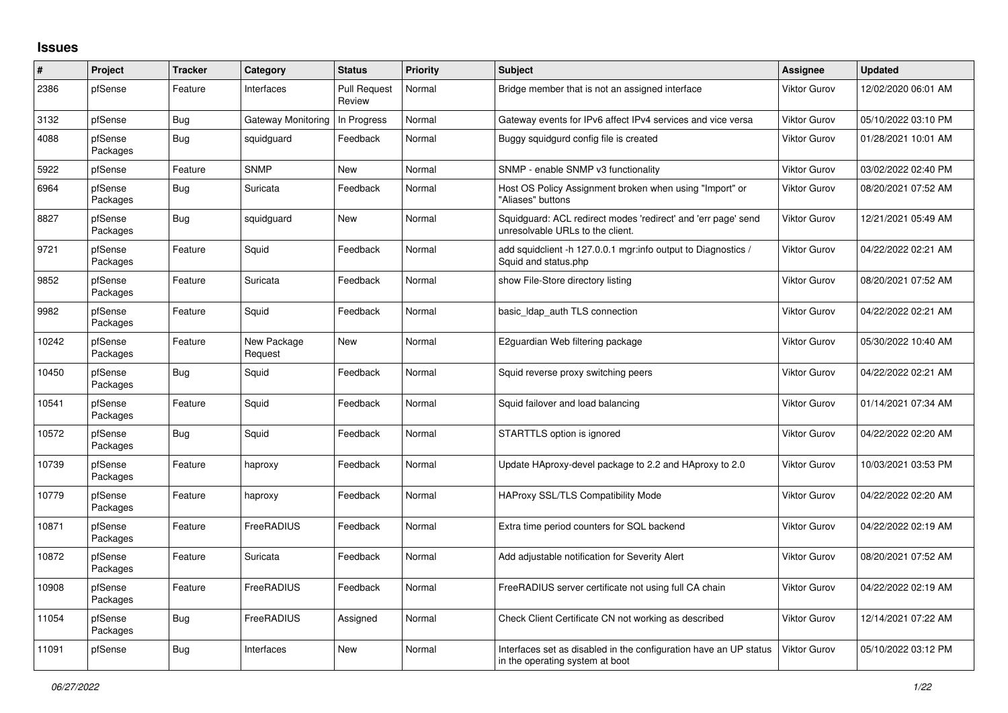## **Issues**

| $\pmb{\#}$ | Project             | <b>Tracker</b> | Category               | <b>Status</b>                 | Priority | <b>Subject</b>                                                                                       | <b>Assignee</b>     | <b>Updated</b>      |
|------------|---------------------|----------------|------------------------|-------------------------------|----------|------------------------------------------------------------------------------------------------------|---------------------|---------------------|
| 2386       | pfSense             | Feature        | Interfaces             | <b>Pull Request</b><br>Review | Normal   | Bridge member that is not an assigned interface                                                      | <b>Viktor Gurov</b> | 12/02/2020 06:01 AM |
| 3132       | pfSense             | Bug            | Gateway Monitoring     | In Progress                   | Normal   | Gateway events for IPv6 affect IPv4 services and vice versa                                          | <b>Viktor Gurov</b> | 05/10/2022 03:10 PM |
| 4088       | pfSense<br>Packages | Bug            | squidguard             | Feedback                      | Normal   | Buggy squidgurd config file is created                                                               | <b>Viktor Gurov</b> | 01/28/2021 10:01 AM |
| 5922       | pfSense             | Feature        | <b>SNMP</b>            | <b>New</b>                    | Normal   | SNMP - enable SNMP v3 functionality                                                                  | Viktor Gurov        | 03/02/2022 02:40 PM |
| 6964       | pfSense<br>Packages | Bug            | Suricata               | Feedback                      | Normal   | Host OS Policy Assignment broken when using "Import" or<br>"Aliases" buttons                         | <b>Viktor Gurov</b> | 08/20/2021 07:52 AM |
| 8827       | pfSense<br>Packages | Bug            | squidguard             | <b>New</b>                    | Normal   | Squidguard: ACL redirect modes 'redirect' and 'err page' send<br>unresolvable URLs to the client.    | <b>Viktor Gurov</b> | 12/21/2021 05:49 AM |
| 9721       | pfSense<br>Packages | Feature        | Squid                  | Feedback                      | Normal   | add squidclient -h 127.0.0.1 mgr:info output to Diagnostics /<br>Squid and status.php                | <b>Viktor Gurov</b> | 04/22/2022 02:21 AM |
| 9852       | pfSense<br>Packages | Feature        | Suricata               | Feedback                      | Normal   | show File-Store directory listing                                                                    | <b>Viktor Gurov</b> | 08/20/2021 07:52 AM |
| 9982       | pfSense<br>Packages | Feature        | Squid                  | Feedback                      | Normal   | basic Idap auth TLS connection                                                                       | <b>Viktor Gurov</b> | 04/22/2022 02:21 AM |
| 10242      | pfSense<br>Packages | Feature        | New Package<br>Request | <b>New</b>                    | Normal   | E2guardian Web filtering package                                                                     | <b>Viktor Gurov</b> | 05/30/2022 10:40 AM |
| 10450      | pfSense<br>Packages | Bug            | Squid                  | Feedback                      | Normal   | Squid reverse proxy switching peers                                                                  | <b>Viktor Gurov</b> | 04/22/2022 02:21 AM |
| 10541      | pfSense<br>Packages | Feature        | Squid                  | Feedback                      | Normal   | Squid failover and load balancing                                                                    | <b>Viktor Gurov</b> | 01/14/2021 07:34 AM |
| 10572      | pfSense<br>Packages | Bug            | Squid                  | Feedback                      | Normal   | STARTTLS option is ignored                                                                           | <b>Viktor Gurov</b> | 04/22/2022 02:20 AM |
| 10739      | pfSense<br>Packages | Feature        | haproxy                | Feedback                      | Normal   | Update HAproxy-devel package to 2.2 and HAproxy to 2.0                                               | <b>Viktor Gurov</b> | 10/03/2021 03:53 PM |
| 10779      | pfSense<br>Packages | Feature        | haproxy                | Feedback                      | Normal   | <b>HAProxy SSL/TLS Compatibility Mode</b>                                                            | <b>Viktor Gurov</b> | 04/22/2022 02:20 AM |
| 10871      | pfSense<br>Packages | Feature        | FreeRADIUS             | Feedback                      | Normal   | Extra time period counters for SQL backend                                                           | <b>Viktor Gurov</b> | 04/22/2022 02:19 AM |
| 10872      | pfSense<br>Packages | Feature        | Suricata               | Feedback                      | Normal   | Add adjustable notification for Severity Alert                                                       | <b>Viktor Gurov</b> | 08/20/2021 07:52 AM |
| 10908      | pfSense<br>Packages | Feature        | FreeRADIUS             | Feedback                      | Normal   | FreeRADIUS server certificate not using full CA chain                                                | <b>Viktor Gurov</b> | 04/22/2022 02:19 AM |
| 11054      | pfSense<br>Packages | Bug            | FreeRADIUS             | Assigned                      | Normal   | Check Client Certificate CN not working as described                                                 | <b>Viktor Gurov</b> | 12/14/2021 07:22 AM |
| 11091      | pfSense             | Bug            | Interfaces             | <b>New</b>                    | Normal   | Interfaces set as disabled in the configuration have an UP status<br>in the operating system at boot | <b>Viktor Gurov</b> | 05/10/2022 03:12 PM |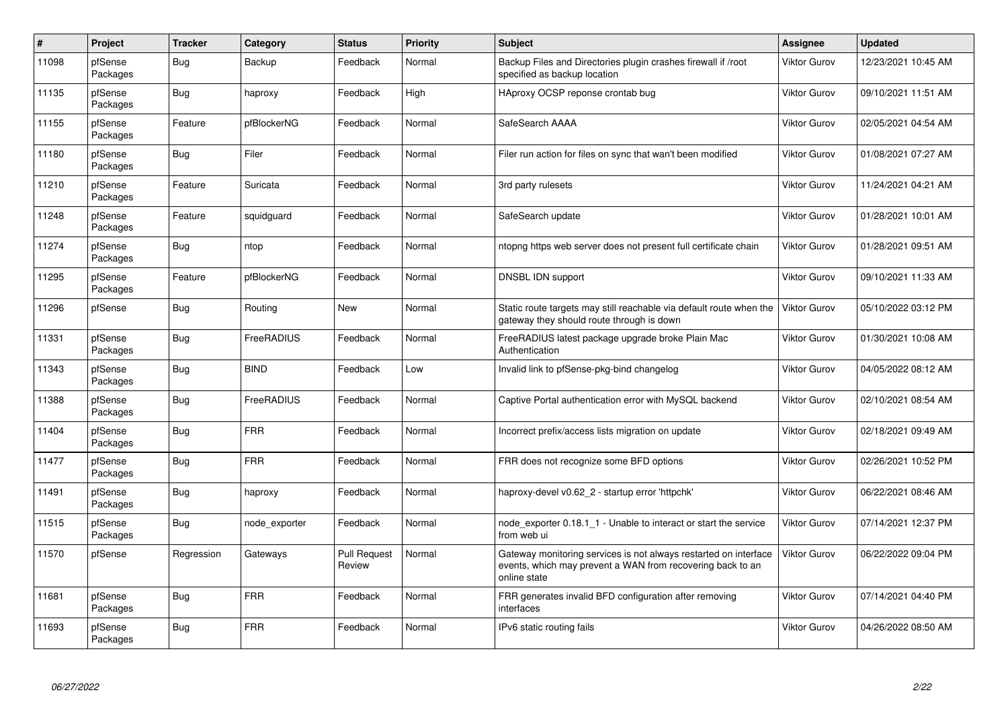| $\sharp$ | Project             | <b>Tracker</b> | Category      | <b>Status</b>                 | Priority | <b>Subject</b>                                                                                                                                 | Assignee            | <b>Updated</b>      |
|----------|---------------------|----------------|---------------|-------------------------------|----------|------------------------------------------------------------------------------------------------------------------------------------------------|---------------------|---------------------|
| 11098    | pfSense<br>Packages | Bug            | Backup        | Feedback                      | Normal   | Backup Files and Directories plugin crashes firewall if /root<br>specified as backup location                                                  | <b>Viktor Gurov</b> | 12/23/2021 10:45 AM |
| 11135    | pfSense<br>Packages | Bug            | haproxy       | Feedback                      | High     | HAproxy OCSP reponse crontab bug                                                                                                               | <b>Viktor Gurov</b> | 09/10/2021 11:51 AM |
| 11155    | pfSense<br>Packages | Feature        | pfBlockerNG   | Feedback                      | Normal   | SafeSearch AAAA                                                                                                                                | <b>Viktor Gurov</b> | 02/05/2021 04:54 AM |
| 11180    | pfSense<br>Packages | <b>Bug</b>     | Filer         | Feedback                      | Normal   | Filer run action for files on sync that wan't been modified                                                                                    | <b>Viktor Gurov</b> | 01/08/2021 07:27 AM |
| 11210    | pfSense<br>Packages | Feature        | Suricata      | Feedback                      | Normal   | 3rd party rulesets                                                                                                                             | <b>Viktor Gurov</b> | 11/24/2021 04:21 AM |
| 11248    | pfSense<br>Packages | Feature        | squidguard    | Feedback                      | Normal   | SafeSearch update                                                                                                                              | <b>Viktor Gurov</b> | 01/28/2021 10:01 AM |
| 11274    | pfSense<br>Packages | Bug            | ntop          | Feedback                      | Normal   | ntopng https web server does not present full certificate chain                                                                                | <b>Viktor Gurov</b> | 01/28/2021 09:51 AM |
| 11295    | pfSense<br>Packages | Feature        | pfBlockerNG   | Feedback                      | Normal   | DNSBL IDN support                                                                                                                              | Viktor Gurov        | 09/10/2021 11:33 AM |
| 11296    | pfSense             | Bug            | Routing       | New                           | Normal   | Static route targets may still reachable via default route when the<br>gateway they should route through is down                               | <b>Viktor Gurov</b> | 05/10/2022 03:12 PM |
| 11331    | pfSense<br>Packages | <b>Bug</b>     | FreeRADIUS    | Feedback                      | Normal   | FreeRADIUS latest package upgrade broke Plain Mac<br>Authentication                                                                            | <b>Viktor Gurov</b> | 01/30/2021 10:08 AM |
| 11343    | pfSense<br>Packages | Bug            | <b>BIND</b>   | Feedback                      | Low      | Invalid link to pfSense-pkg-bind changelog                                                                                                     | <b>Viktor Gurov</b> | 04/05/2022 08:12 AM |
| 11388    | pfSense<br>Packages | Bug            | FreeRADIUS    | Feedback                      | Normal   | Captive Portal authentication error with MySQL backend                                                                                         | <b>Viktor Gurov</b> | 02/10/2021 08:54 AM |
| 11404    | pfSense<br>Packages | <b>Bug</b>     | <b>FRR</b>    | Feedback                      | Normal   | Incorrect prefix/access lists migration on update                                                                                              | Viktor Gurov        | 02/18/2021 09:49 AM |
| 11477    | pfSense<br>Packages | Bug            | <b>FRR</b>    | Feedback                      | Normal   | FRR does not recognize some BFD options                                                                                                        | <b>Viktor Gurov</b> | 02/26/2021 10:52 PM |
| 11491    | pfSense<br>Packages | <b>Bug</b>     | haproxy       | Feedback                      | Normal   | haproxy-devel v0.62 2 - startup error 'httpchk'                                                                                                | <b>Viktor Gurov</b> | 06/22/2021 08:46 AM |
| 11515    | pfSense<br>Packages | Bug            | node exporter | Feedback                      | Normal   | node exporter 0.18.1 1 - Unable to interact or start the service<br>from web ui                                                                | <b>Viktor Gurov</b> | 07/14/2021 12:37 PM |
| 11570    | pfSense             | Regression     | Gateways      | <b>Pull Request</b><br>Review | Normal   | Gateway monitoring services is not always restarted on interface<br>events, which may prevent a WAN from recovering back to an<br>online state | <b>Viktor Gurov</b> | 06/22/2022 09:04 PM |
| 11681    | pfSense<br>Packages | Bug            | <b>FRR</b>    | Feedback                      | Normal   | FRR generates invalid BFD configuration after removing<br>interfaces                                                                           | <b>Viktor Gurov</b> | 07/14/2021 04:40 PM |
| 11693    | pfSense<br>Packages | <b>Bug</b>     | <b>FRR</b>    | Feedback                      | Normal   | IPv6 static routing fails                                                                                                                      | <b>Viktor Gurov</b> | 04/26/2022 08:50 AM |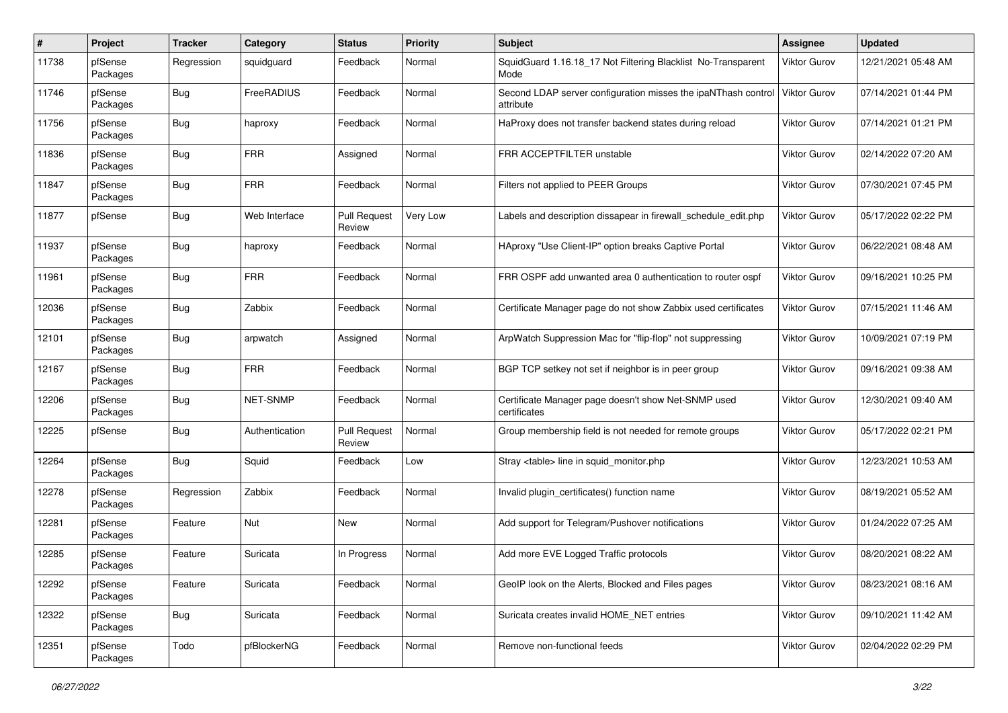| #     | Project             | <b>Tracker</b> | Category       | <b>Status</b>                 | <b>Priority</b> | <b>Subject</b>                                                             | Assignee            | <b>Updated</b>      |
|-------|---------------------|----------------|----------------|-------------------------------|-----------------|----------------------------------------------------------------------------|---------------------|---------------------|
| 11738 | pfSense<br>Packages | Regression     | squidguard     | Feedback                      | Normal          | SquidGuard 1.16.18_17 Not Filtering Blacklist No-Transparent<br>Mode       | <b>Viktor Gurov</b> | 12/21/2021 05:48 AM |
| 11746 | pfSense<br>Packages | Bug            | FreeRADIUS     | Feedback                      | Normal          | Second LDAP server configuration misses the ipaNThash control<br>attribute | <b>Viktor Gurov</b> | 07/14/2021 01:44 PM |
| 11756 | pfSense<br>Packages | Bug            | haproxy        | Feedback                      | Normal          | HaProxy does not transfer backend states during reload                     | <b>Viktor Gurov</b> | 07/14/2021 01:21 PM |
| 11836 | pfSense<br>Packages | <b>Bug</b>     | <b>FRR</b>     | Assigned                      | Normal          | FRR ACCEPTFILTER unstable                                                  | <b>Viktor Gurov</b> | 02/14/2022 07:20 AM |
| 11847 | pfSense<br>Packages | <b>Bug</b>     | <b>FRR</b>     | Feedback                      | Normal          | Filters not applied to PEER Groups                                         | <b>Viktor Gurov</b> | 07/30/2021 07:45 PM |
| 11877 | pfSense             | <b>Bug</b>     | Web Interface  | <b>Pull Request</b><br>Review | Very Low        | Labels and description dissapear in firewall schedule edit.php             | <b>Viktor Gurov</b> | 05/17/2022 02:22 PM |
| 11937 | pfSense<br>Packages | <b>Bug</b>     | haproxy        | Feedback                      | Normal          | HAproxy "Use Client-IP" option breaks Captive Portal                       | <b>Viktor Gurov</b> | 06/22/2021 08:48 AM |
| 11961 | pfSense<br>Packages | <b>Bug</b>     | <b>FRR</b>     | Feedback                      | Normal          | FRR OSPF add unwanted area 0 authentication to router ospf                 | <b>Viktor Gurov</b> | 09/16/2021 10:25 PM |
| 12036 | pfSense<br>Packages | <b>Bug</b>     | Zabbix         | Feedback                      | Normal          | Certificate Manager page do not show Zabbix used certificates              | <b>Viktor Gurov</b> | 07/15/2021 11:46 AM |
| 12101 | pfSense<br>Packages | <b>Bug</b>     | arpwatch       | Assigned                      | Normal          | ArpWatch Suppression Mac for "flip-flop" not suppressing                   | <b>Viktor Gurov</b> | 10/09/2021 07:19 PM |
| 12167 | pfSense<br>Packages | <b>Bug</b>     | <b>FRR</b>     | Feedback                      | Normal          | BGP TCP setkey not set if neighbor is in peer group                        | <b>Viktor Gurov</b> | 09/16/2021 09:38 AM |
| 12206 | pfSense<br>Packages | <b>Bug</b>     | NET-SNMP       | Feedback                      | Normal          | Certificate Manager page doesn't show Net-SNMP used<br>certificates        | <b>Viktor Gurov</b> | 12/30/2021 09:40 AM |
| 12225 | pfSense             | <b>Bug</b>     | Authentication | <b>Pull Request</b><br>Review | Normal          | Group membership field is not needed for remote groups                     | <b>Viktor Gurov</b> | 05/17/2022 02:21 PM |
| 12264 | pfSense<br>Packages | <b>Bug</b>     | Squid          | Feedback                      | Low             | Stray <table> line in squid monitor.php</table>                            | <b>Viktor Gurov</b> | 12/23/2021 10:53 AM |
| 12278 | pfSense<br>Packages | Regression     | Zabbix         | Feedback                      | Normal          | Invalid plugin_certificates() function name                                | <b>Viktor Gurov</b> | 08/19/2021 05:52 AM |
| 12281 | pfSense<br>Packages | Feature        | Nut            | New                           | Normal          | Add support for Telegram/Pushover notifications                            | <b>Viktor Gurov</b> | 01/24/2022 07:25 AM |
| 12285 | pfSense<br>Packages | Feature        | Suricata       | In Progress                   | Normal          | Add more EVE Logged Traffic protocols                                      | <b>Viktor Gurov</b> | 08/20/2021 08:22 AM |
| 12292 | pfSense<br>Packages | Feature        | Suricata       | Feedback                      | Normal          | GeoIP look on the Alerts, Blocked and Files pages                          | Viktor Gurov        | 08/23/2021 08:16 AM |
| 12322 | pfSense<br>Packages | <b>Bug</b>     | Suricata       | Feedback                      | Normal          | Suricata creates invalid HOME_NET entries                                  | Viktor Gurov        | 09/10/2021 11:42 AM |
| 12351 | pfSense<br>Packages | Todo           | pfBlockerNG    | Feedback                      | Normal          | Remove non-functional feeds                                                | Viktor Gurov        | 02/04/2022 02:29 PM |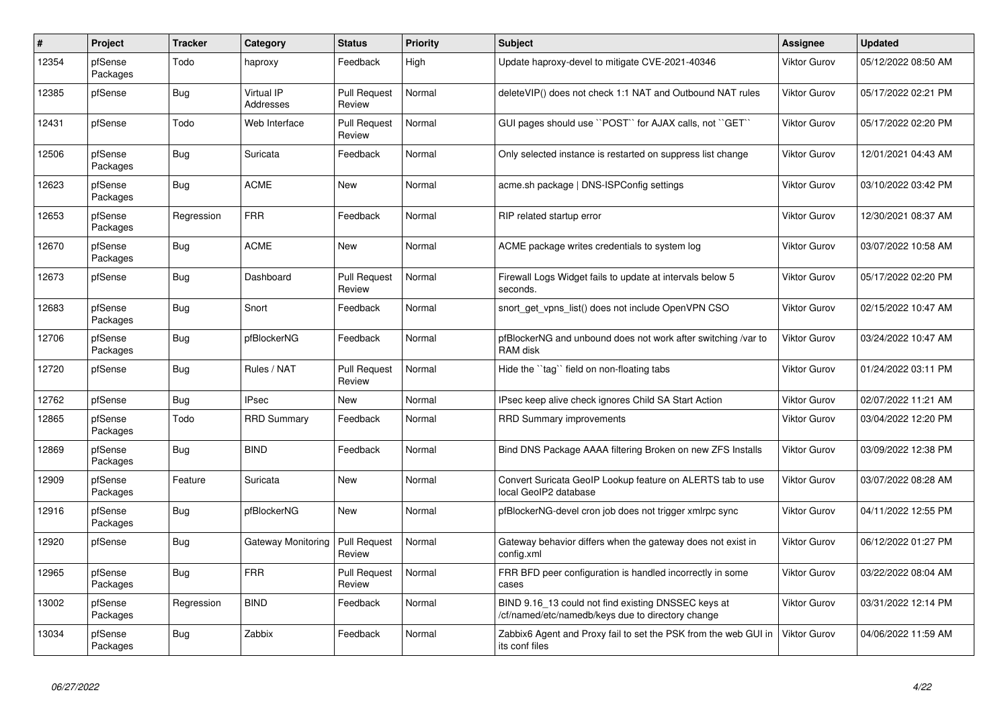| #     | <b>Project</b>      | <b>Tracker</b> | Category                       | <b>Status</b>                 | Priority | <b>Subject</b>                                                                                           | Assignee            | <b>Updated</b>      |
|-------|---------------------|----------------|--------------------------------|-------------------------------|----------|----------------------------------------------------------------------------------------------------------|---------------------|---------------------|
| 12354 | pfSense<br>Packages | Todo           | haproxy                        | Feedback                      | High     | Update haproxy-devel to mitigate CVE-2021-40346                                                          | <b>Viktor Gurov</b> | 05/12/2022 08:50 AM |
| 12385 | pfSense             | <b>Bug</b>     | Virtual IP<br><b>Addresses</b> | <b>Pull Request</b><br>Review | Normal   | deleteVIP() does not check 1:1 NAT and Outbound NAT rules                                                | <b>Viktor Gurov</b> | 05/17/2022 02:21 PM |
| 12431 | pfSense             | Todo           | Web Interface                  | <b>Pull Request</b><br>Review | Normal   | GUI pages should use "POST" for AJAX calls, not "GET"                                                    | <b>Viktor Gurov</b> | 05/17/2022 02:20 PM |
| 12506 | pfSense<br>Packages | <b>Bug</b>     | Suricata                       | Feedback                      | Normal   | Only selected instance is restarted on suppress list change                                              | <b>Viktor Gurov</b> | 12/01/2021 04:43 AM |
| 12623 | pfSense<br>Packages | Bug            | <b>ACME</b>                    | <b>New</b>                    | Normal   | acme.sh package   DNS-ISPConfig settings                                                                 | <b>Viktor Gurov</b> | 03/10/2022 03:42 PM |
| 12653 | pfSense<br>Packages | Regression     | FRR                            | Feedback                      | Normal   | RIP related startup error                                                                                | <b>Viktor Gurov</b> | 12/30/2021 08:37 AM |
| 12670 | pfSense<br>Packages | Bug            | <b>ACME</b>                    | New                           | Normal   | ACME package writes credentials to system log                                                            | <b>Viktor Gurov</b> | 03/07/2022 10:58 AM |
| 12673 | pfSense             | Bug            | Dashboard                      | <b>Pull Request</b><br>Review | Normal   | Firewall Logs Widget fails to update at intervals below 5<br>seconds.                                    | <b>Viktor Gurov</b> | 05/17/2022 02:20 PM |
| 12683 | pfSense<br>Packages | <b>Bug</b>     | Snort                          | Feedback                      | Normal   | snort get vpns list() does not include OpenVPN CSO                                                       | <b>Viktor Gurov</b> | 02/15/2022 10:47 AM |
| 12706 | pfSense<br>Packages | <b>Bug</b>     | pfBlockerNG                    | Feedback                      | Normal   | pfBlockerNG and unbound does not work after switching /var to<br>RAM disk                                | <b>Viktor Gurov</b> | 03/24/2022 10:47 AM |
| 12720 | pfSense             | <b>Bug</b>     | Rules / NAT                    | <b>Pull Request</b><br>Review | Normal   | Hide the "tag" field on non-floating tabs                                                                | <b>Viktor Gurov</b> | 01/24/2022 03:11 PM |
| 12762 | pfSense             | Bug            | <b>IPsec</b>                   | New                           | Normal   | IPsec keep alive check ignores Child SA Start Action                                                     | Viktor Gurov        | 02/07/2022 11:21 AM |
| 12865 | pfSense<br>Packages | Todo           | <b>RRD Summary</b>             | Feedback                      | Normal   | <b>RRD Summary improvements</b>                                                                          | <b>Viktor Gurov</b> | 03/04/2022 12:20 PM |
| 12869 | pfSense<br>Packages | Bug            | <b>BIND</b>                    | Feedback                      | Normal   | Bind DNS Package AAAA filtering Broken on new ZFS Installs                                               | <b>Viktor Gurov</b> | 03/09/2022 12:38 PM |
| 12909 | pfSense<br>Packages | Feature        | Suricata                       | <b>New</b>                    | Normal   | Convert Suricata GeoIP Lookup feature on ALERTS tab to use<br>local GeoIP2 database                      | <b>Viktor Gurov</b> | 03/07/2022 08:28 AM |
| 12916 | pfSense<br>Packages | <b>Bug</b>     | pfBlockerNG                    | <b>New</b>                    | Normal   | pfBlockerNG-devel cron job does not trigger xmlrpc sync                                                  | <b>Viktor Gurov</b> | 04/11/2022 12:55 PM |
| 12920 | pfSense             | <b>Bug</b>     | Gateway Monitoring             | <b>Pull Request</b><br>Review | Normal   | Gateway behavior differs when the gateway does not exist in<br>config.xml                                | <b>Viktor Gurov</b> | 06/12/2022 01:27 PM |
| 12965 | pfSense<br>Packages | Bug            | <b>FRR</b>                     | <b>Pull Request</b><br>Review | Normal   | FRR BFD peer configuration is handled incorrectly in some<br>cases                                       | <b>Viktor Gurov</b> | 03/22/2022 08:04 AM |
| 13002 | pfSense<br>Packages | Regression     | <b>BIND</b>                    | Feedback                      | Normal   | BIND 9.16 13 could not find existing DNSSEC keys at<br>/cf/named/etc/namedb/keys due to directory change | <b>Viktor Gurov</b> | 03/31/2022 12:14 PM |
| 13034 | pfSense<br>Packages | <b>Bug</b>     | Zabbix                         | Feedback                      | Normal   | Zabbix6 Agent and Proxy fail to set the PSK from the web GUI in<br>its conf files                        | <b>Viktor Gurov</b> | 04/06/2022 11:59 AM |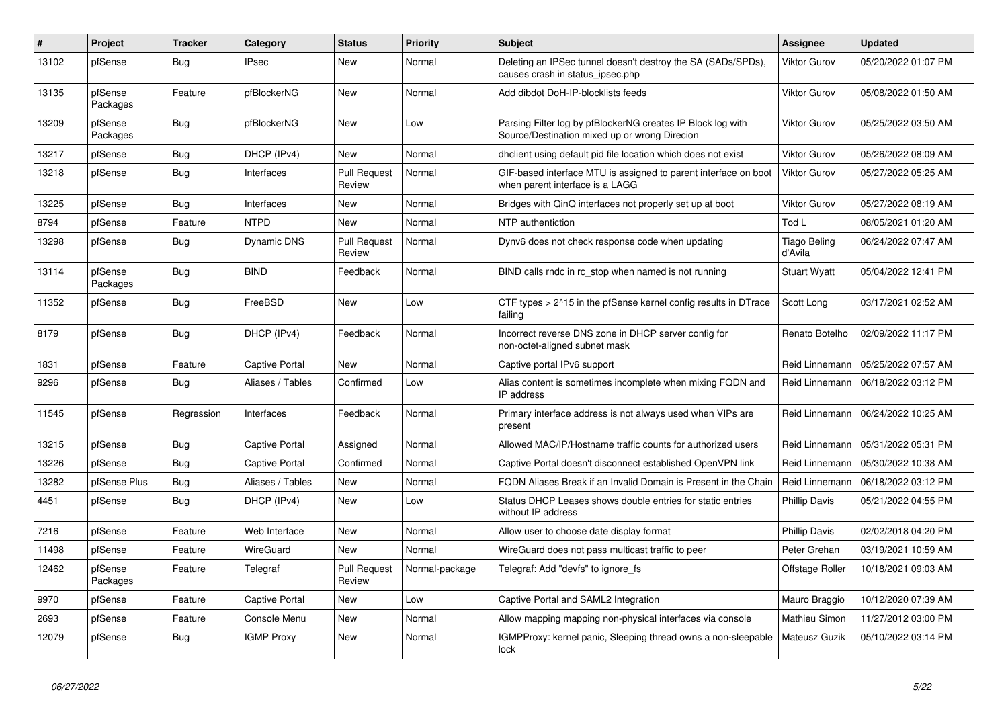| #     | Project             | <b>Tracker</b> | Category          | <b>Status</b>                 | Priority       | <b>Subject</b>                                                                                               | Assignee                       | <b>Updated</b>      |
|-------|---------------------|----------------|-------------------|-------------------------------|----------------|--------------------------------------------------------------------------------------------------------------|--------------------------------|---------------------|
| 13102 | pfSense             | Bug            | IPsec             | New                           | Normal         | Deleting an IPSec tunnel doesn't destroy the SA (SADs/SPDs)<br>causes crash in status_ipsec.php              | <b>Viktor Gurov</b>            | 05/20/2022 01:07 PM |
| 13135 | pfSense<br>Packages | Feature        | pfBlockerNG       | New                           | Normal         | Add dibdot DoH-IP-blocklists feeds                                                                           | <b>Viktor Gurov</b>            | 05/08/2022 01:50 AM |
| 13209 | pfSense<br>Packages | <b>Bug</b>     | pfBlockerNG       | <b>New</b>                    | Low            | Parsing Filter log by pfBlockerNG creates IP Block log with<br>Source/Destination mixed up or wrong Direcion | <b>Viktor Gurov</b>            | 05/25/2022 03:50 AM |
| 13217 | pfSense             | Bug            | DHCP (IPv4)       | New                           | Normal         | dhclient using default pid file location which does not exist                                                | <b>Viktor Gurov</b>            | 05/26/2022 08:09 AM |
| 13218 | pfSense             | <b>Bug</b>     | Interfaces        | <b>Pull Request</b><br>Review | Normal         | GIF-based interface MTU is assigned to parent interface on boot<br>when parent interface is a LAGG           | <b>Viktor Gurov</b>            | 05/27/2022 05:25 AM |
| 13225 | pfSense             | Bug            | Interfaces        | New                           | Normal         | Bridges with QinQ interfaces not properly set up at boot                                                     | <b>Viktor Gurov</b>            | 05/27/2022 08:19 AM |
| 8794  | pfSense             | Feature        | <b>NTPD</b>       | New                           | Normal         | NTP authentiction                                                                                            | Tod L                          | 08/05/2021 01:20 AM |
| 13298 | pfSense             | Bug            | Dynamic DNS       | <b>Pull Request</b><br>Review | Normal         | Dynv6 does not check response code when updating                                                             | <b>Tiago Beling</b><br>d'Avila | 06/24/2022 07:47 AM |
| 13114 | pfSense<br>Packages | Bug            | <b>BIND</b>       | Feedback                      | Normal         | BIND calls rndc in rc stop when named is not running                                                         | <b>Stuart Wyatt</b>            | 05/04/2022 12:41 PM |
| 11352 | pfSense             | Bug            | FreeBSD           | <b>New</b>                    | Low            | CTF types > 2^15 in the pfSense kernel config results in DTrace<br>failing                                   | Scott Long                     | 03/17/2021 02:52 AM |
| 8179  | pfSense             | Bug            | DHCP (IPv4)       | Feedback                      | Normal         | Incorrect reverse DNS zone in DHCP server config for<br>non-octet-aligned subnet mask                        | Renato Botelho                 | 02/09/2022 11:17 PM |
| 1831  | pfSense             | Feature        | Captive Portal    | New                           | Normal         | Captive portal IPv6 support                                                                                  | Reid Linnemann                 | 05/25/2022 07:57 AM |
| 9296  | pfSense             | <b>Bug</b>     | Aliases / Tables  | Confirmed                     | Low            | Alias content is sometimes incomplete when mixing FQDN and<br>IP address                                     | Reid Linnemann                 | 06/18/2022 03:12 PM |
| 11545 | pfSense             | Regression     | Interfaces        | Feedback                      | Normal         | Primary interface address is not always used when VIPs are<br>present                                        | Reid Linnemann                 | 06/24/2022 10:25 AM |
| 13215 | pfSense             | Bug            | Captive Portal    | Assigned                      | Normal         | Allowed MAC/IP/Hostname traffic counts for authorized users                                                  | Reid Linnemann                 | 05/31/2022 05:31 PM |
| 13226 | pfSense             | Bug            | Captive Portal    | Confirmed                     | Normal         | Captive Portal doesn't disconnect established OpenVPN link                                                   | Reid Linnemann                 | 05/30/2022 10:38 AM |
| 13282 | pfSense Plus        | Bug            | Aliases / Tables  | <b>New</b>                    | Normal         | FQDN Aliases Break if an Invalid Domain is Present in the Chain                                              | Reid Linnemann                 | 06/18/2022 03:12 PM |
| 4451  | pfSense             | Bug            | DHCP (IPv4)       | New                           | Low            | Status DHCP Leases shows double entries for static entries<br>without IP address                             | <b>Phillip Davis</b>           | 05/21/2022 04:55 PM |
| 7216  | pfSense             | Feature        | Web Interface     | New                           | Normal         | Allow user to choose date display format                                                                     | <b>Phillip Davis</b>           | 02/02/2018 04:20 PM |
| 11498 | pfSense             | Feature        | WireGuard         | New                           | Normal         | WireGuard does not pass multicast traffic to peer                                                            | Peter Grehan                   | 03/19/2021 10:59 AM |
| 12462 | pfSense<br>Packages | Feature        | Telegraf          | <b>Pull Request</b><br>Review | Normal-package | Telegraf: Add "devfs" to ignore fs                                                                           | Offstage Roller                | 10/18/2021 09:03 AM |
| 9970  | pfSense             | Feature        | Captive Portal    | New                           | Low            | Captive Portal and SAML2 Integration                                                                         | Mauro Braggio                  | 10/12/2020 07:39 AM |
| 2693  | pfSense             | Feature        | Console Menu      | New                           | Normal         | Allow mapping mapping non-physical interfaces via console                                                    | Mathieu Simon                  | 11/27/2012 03:00 PM |
| 12079 | pfSense             | Bug            | <b>IGMP Proxy</b> | <b>New</b>                    | Normal         | IGMPProxy: kernel panic, Sleeping thread owns a non-sleepable<br>lock                                        | Mateusz Guzik                  | 05/10/2022 03:14 PM |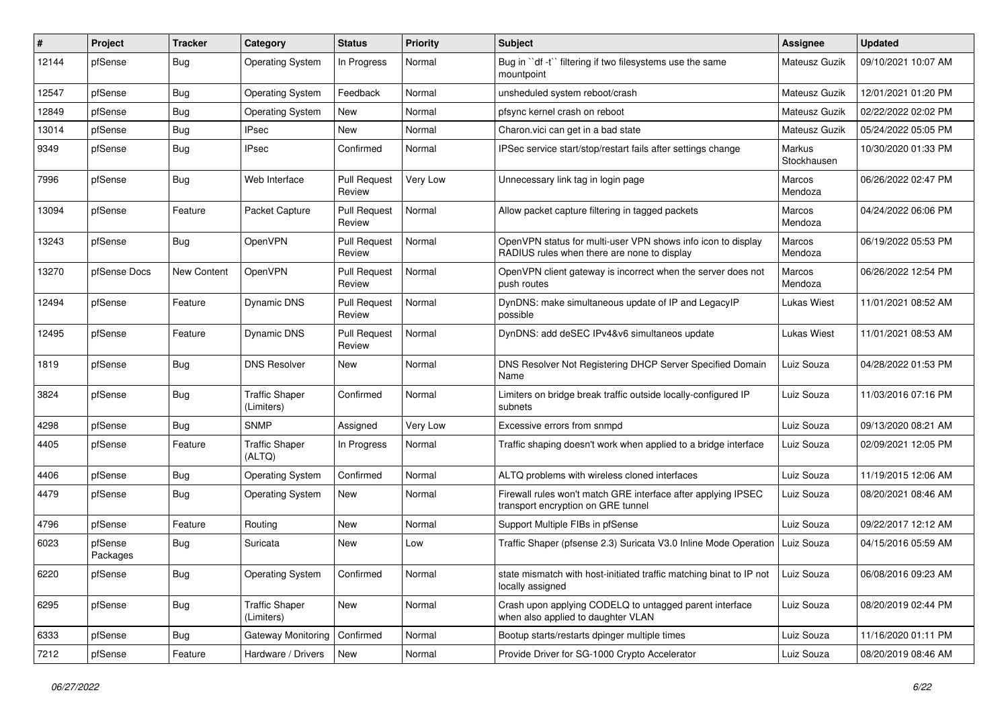| #     | Project             | Tracker     | Category                            | <b>Status</b>                 | <b>Priority</b> | <b>Subject</b>                                                                                              | <b>Assignee</b>          | <b>Updated</b>      |
|-------|---------------------|-------------|-------------------------------------|-------------------------------|-----------------|-------------------------------------------------------------------------------------------------------------|--------------------------|---------------------|
| 12144 | pfSense             | <b>Bug</b>  | <b>Operating System</b>             | In Progress                   | Normal          | Bug in "df -t" filtering if two filesystems use the same<br>mountpoint                                      | Mateusz Guzik            | 09/10/2021 10:07 AM |
| 12547 | pfSense             | <b>Bug</b>  | <b>Operating System</b>             | Feedback                      | Normal          | unsheduled system reboot/crash                                                                              | Mateusz Guzik            | 12/01/2021 01:20 PM |
| 12849 | pfSense             | <b>Bug</b>  | <b>Operating System</b>             | New                           | Normal          | pfsync kernel crash on reboot                                                                               | Mateusz Guzik            | 02/22/2022 02:02 PM |
| 13014 | pfSense             | <b>Bug</b>  | <b>IPsec</b>                        | <b>New</b>                    | Normal          | Charon.vici can get in a bad state                                                                          | Mateusz Guzik            | 05/24/2022 05:05 PM |
| 9349  | pfSense             | <b>Bug</b>  | <b>IPsec</b>                        | Confirmed                     | Normal          | IPSec service start/stop/restart fails after settings change                                                | Markus<br>Stockhausen    | 10/30/2020 01:33 PM |
| 7996  | pfSense             | Bug         | Web Interface                       | <b>Pull Request</b><br>Review | Very Low        | Unnecessary link tag in login page                                                                          | Marcos<br>Mendoza        | 06/26/2022 02:47 PM |
| 13094 | pfSense             | Feature     | Packet Capture                      | <b>Pull Request</b><br>Review | Normal          | Allow packet capture filtering in tagged packets                                                            | <b>Marcos</b><br>Mendoza | 04/24/2022 06:06 PM |
| 13243 | pfSense             | <b>Bug</b>  | OpenVPN                             | <b>Pull Request</b><br>Review | Normal          | OpenVPN status for multi-user VPN shows info icon to display<br>RADIUS rules when there are none to display | Marcos<br>Mendoza        | 06/19/2022 05:53 PM |
| 13270 | pfSense Docs        | New Content | OpenVPN                             | <b>Pull Request</b><br>Review | Normal          | OpenVPN client gateway is incorrect when the server does not<br>push routes                                 | Marcos<br>Mendoza        | 06/26/2022 12:54 PM |
| 12494 | pfSense             | Feature     | Dynamic DNS                         | <b>Pull Request</b><br>Review | Normal          | DynDNS: make simultaneous update of IP and LegacyIP<br>possible                                             | Lukas Wiest              | 11/01/2021 08:52 AM |
| 12495 | pfSense             | Feature     | Dynamic DNS                         | <b>Pull Request</b><br>Review | Normal          | DynDNS: add deSEC IPv4&v6 simultaneos update                                                                | <b>Lukas Wiest</b>       | 11/01/2021 08:53 AM |
| 1819  | pfSense             | <b>Bug</b>  | <b>DNS Resolver</b>                 | New                           | Normal          | DNS Resolver Not Registering DHCP Server Specified Domain<br>Name                                           | Luiz Souza               | 04/28/2022 01:53 PM |
| 3824  | pfSense             | <b>Bug</b>  | <b>Traffic Shaper</b><br>(Limiters) | Confirmed                     | Normal          | Limiters on bridge break traffic outside locally-configured IP<br>subnets                                   | Luiz Souza               | 11/03/2016 07:16 PM |
| 4298  | pfSense             | Bug         | <b>SNMP</b>                         | Assigned                      | Very Low        | Excessive errors from snmpd                                                                                 | Luiz Souza               | 09/13/2020 08:21 AM |
| 4405  | pfSense             | Feature     | <b>Traffic Shaper</b><br>(ALTQ)     | In Progress                   | Normal          | Traffic shaping doesn't work when applied to a bridge interface                                             | Luiz Souza               | 02/09/2021 12:05 PM |
| 4406  | pfSense             | <b>Bug</b>  | <b>Operating System</b>             | Confirmed                     | Normal          | ALTQ problems with wireless cloned interfaces                                                               | Luiz Souza               | 11/19/2015 12:06 AM |
| 4479  | pfSense             | <b>Bug</b>  | <b>Operating System</b>             | New                           | Normal          | Firewall rules won't match GRE interface after applying IPSEC<br>transport encryption on GRE tunnel         | Luiz Souza               | 08/20/2021 08:46 AM |
| 4796  | pfSense             | Feature     | Routing                             | <b>New</b>                    | Normal          | Support Multiple FIBs in pfSense                                                                            | Luiz Souza               | 09/22/2017 12:12 AM |
| 6023  | pfSense<br>Packages | <b>Bug</b>  | Suricata                            | <b>New</b>                    | Low             | Traffic Shaper (pfsense 2.3) Suricata V3.0 Inline Mode Operation                                            | Luiz Souza               | 04/15/2016 05:59 AM |
| 6220  | pfSense             | <b>Bug</b>  | <b>Operating System</b>             | Confirmed                     | Normal          | state mismatch with host-initiated traffic matching binat to IP not<br>locally assigned                     | Luiz Souza               | 06/08/2016 09:23 AM |
| 6295  | pfSense             | Bug         | <b>Traffic Shaper</b><br>(Limiters) | New                           | Normal          | Crash upon applying CODELQ to untagged parent interface<br>when also applied to daughter VLAN               | Luiz Souza               | 08/20/2019 02:44 PM |
| 6333  | pfSense             | <b>Bug</b>  | Gateway Monitoring                  | Confirmed                     | Normal          | Bootup starts/restarts dpinger multiple times                                                               | Luiz Souza               | 11/16/2020 01:11 PM |
| 7212  | pfSense             | Feature     | Hardware / Drivers                  | New                           | Normal          | Provide Driver for SG-1000 Crypto Accelerator                                                               | Luiz Souza               | 08/20/2019 08:46 AM |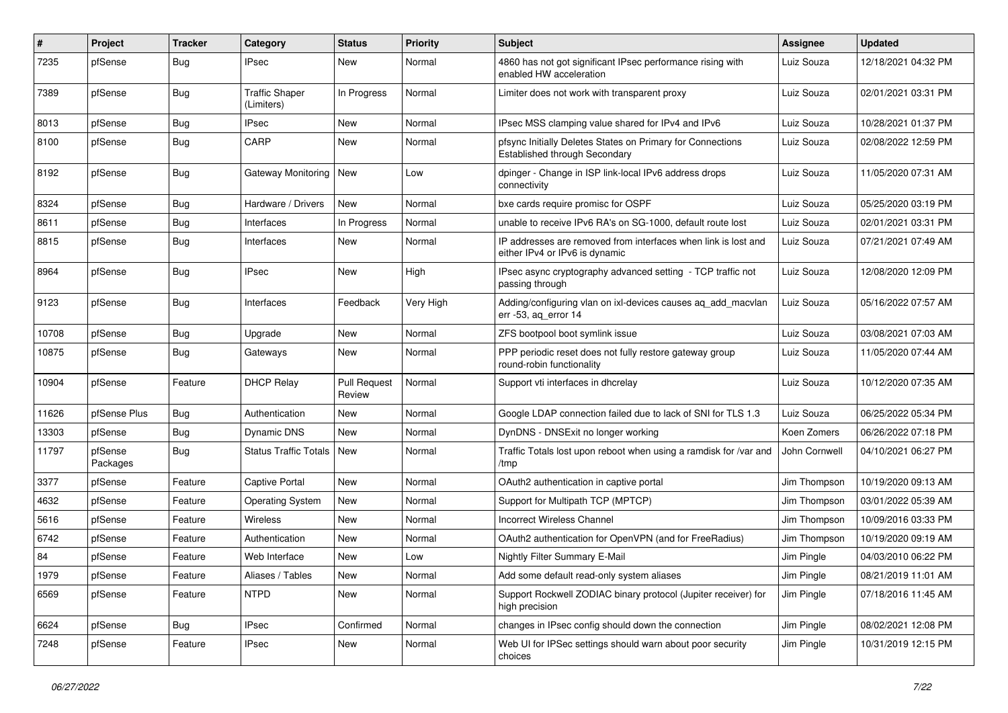| ∦     | Project             | <b>Tracker</b> | Category                            | <b>Status</b>                 | <b>Priority</b> | <b>Subject</b>                                                                                   | <b>Assignee</b> | <b>Updated</b>      |
|-------|---------------------|----------------|-------------------------------------|-------------------------------|-----------------|--------------------------------------------------------------------------------------------------|-----------------|---------------------|
| 7235  | pfSense             | Bug            | <b>IPsec</b>                        | New                           | Normal          | 4860 has not got significant IPsec performance rising with<br>enabled HW acceleration            | Luiz Souza      | 12/18/2021 04:32 PM |
| 7389  | pfSense             | Bug            | <b>Traffic Shaper</b><br>(Limiters) | In Progress                   | Normal          | Limiter does not work with transparent proxy                                                     | Luiz Souza      | 02/01/2021 03:31 PM |
| 8013  | pfSense             | Bug            | <b>IPsec</b>                        | <b>New</b>                    | Normal          | IPsec MSS clamping value shared for IPv4 and IPv6                                                | Luiz Souza      | 10/28/2021 01:37 PM |
| 8100  | pfSense             | Bug            | CARP                                | New                           | Normal          | pfsync Initially Deletes States on Primary for Connections<br>Established through Secondary      | Luiz Souza      | 02/08/2022 12:59 PM |
| 8192  | pfSense             | Bug            | Gateway Monitoring   New            |                               | Low             | dpinger - Change in ISP link-local IPv6 address drops<br>connectivity                            | Luiz Souza      | 11/05/2020 07:31 AM |
| 8324  | pfSense             | Bug            | Hardware / Drivers                  | <b>New</b>                    | Normal          | bxe cards require promisc for OSPF                                                               | Luiz Souza      | 05/25/2020 03:19 PM |
| 8611  | pfSense             | Bug            | Interfaces                          | In Progress                   | Normal          | unable to receive IPv6 RA's on SG-1000, default route lost                                       | Luiz Souza      | 02/01/2021 03:31 PM |
| 8815  | pfSense             | Bug            | Interfaces                          | New                           | Normal          | IP addresses are removed from interfaces when link is lost and<br>either IPv4 or IPv6 is dynamic | Luiz Souza      | 07/21/2021 07:49 AM |
| 8964  | pfSense             | Bug            | <b>IPsec</b>                        | <b>New</b>                    | High            | IPsec async cryptography advanced setting - TCP traffic not<br>passing through                   | Luiz Souza      | 12/08/2020 12:09 PM |
| 9123  | pfSense             | <b>Bug</b>     | Interfaces                          | Feedback                      | Very High       | Adding/configuring vlan on ixl-devices causes aq_add_macvlan<br>err -53, ag error 14             | Luiz Souza      | 05/16/2022 07:57 AM |
| 10708 | pfSense             | Bug            | Upgrade                             | New                           | Normal          | ZFS bootpool boot symlink issue                                                                  | Luiz Souza      | 03/08/2021 07:03 AM |
| 10875 | pfSense             | Bug            | Gateways                            | New                           | Normal          | PPP periodic reset does not fully restore gateway group<br>round-robin functionality             | Luiz Souza      | 11/05/2020 07:44 AM |
| 10904 | pfSense             | Feature        | <b>DHCP Relay</b>                   | <b>Pull Request</b><br>Review | Normal          | Support vti interfaces in dhcrelay                                                               | Luiz Souza      | 10/12/2020 07:35 AM |
| 11626 | pfSense Plus        | Bug            | Authentication                      | <b>New</b>                    | Normal          | Google LDAP connection failed due to lack of SNI for TLS 1.3                                     | Luiz Souza      | 06/25/2022 05:34 PM |
| 13303 | pfSense             | Bug            | Dynamic DNS                         | New                           | Normal          | DynDNS - DNSExit no longer working                                                               | Koen Zomers     | 06/26/2022 07:18 PM |
| 11797 | pfSense<br>Packages | Bug            | Status Traffic Totals               | <b>New</b>                    | Normal          | Traffic Totals lost upon reboot when using a ramdisk for /var and<br>/tmp                        | John Cornwell   | 04/10/2021 06:27 PM |
| 3377  | pfSense             | Feature        | Captive Portal                      | <b>New</b>                    | Normal          | OAuth2 authentication in captive portal                                                          | Jim Thompson    | 10/19/2020 09:13 AM |
| 4632  | pfSense             | Feature        | <b>Operating System</b>             | New                           | Normal          | Support for Multipath TCP (MPTCP)                                                                | Jim Thompson    | 03/01/2022 05:39 AM |
| 5616  | pfSense             | Feature        | <b>Wireless</b>                     | <b>New</b>                    | Normal          | Incorrect Wireless Channel                                                                       | Jim Thompson    | 10/09/2016 03:33 PM |
| 6742  | pfSense             | Feature        | Authentication                      | New                           | Normal          | OAuth2 authentication for OpenVPN (and for FreeRadius)                                           | Jim Thompson    | 10/19/2020 09:19 AM |
| 84    | pfSense             | Feature        | Web Interface                       | New                           | Low             | Nightly Filter Summary E-Mail                                                                    | Jim Pingle      | 04/03/2010 06:22 PM |
| 1979  | pfSense             | Feature        | Aliases / Tables                    | New                           | Normal          | Add some default read-only system aliases                                                        | Jim Pingle      | 08/21/2019 11:01 AM |
| 6569  | pfSense             | Feature        | <b>NTPD</b>                         | New                           | Normal          | Support Rockwell ZODIAC binary protocol (Jupiter receiver) for<br>high precision                 | Jim Pingle      | 07/18/2016 11:45 AM |
| 6624  | pfSense             | Bug            | <b>IPsec</b>                        | Confirmed                     | Normal          | changes in IPsec config should down the connection                                               | Jim Pingle      | 08/02/2021 12:08 PM |
| 7248  | pfSense             | Feature        | <b>IPsec</b>                        | New                           | Normal          | Web UI for IPSec settings should warn about poor security<br>choices                             | Jim Pingle      | 10/31/2019 12:15 PM |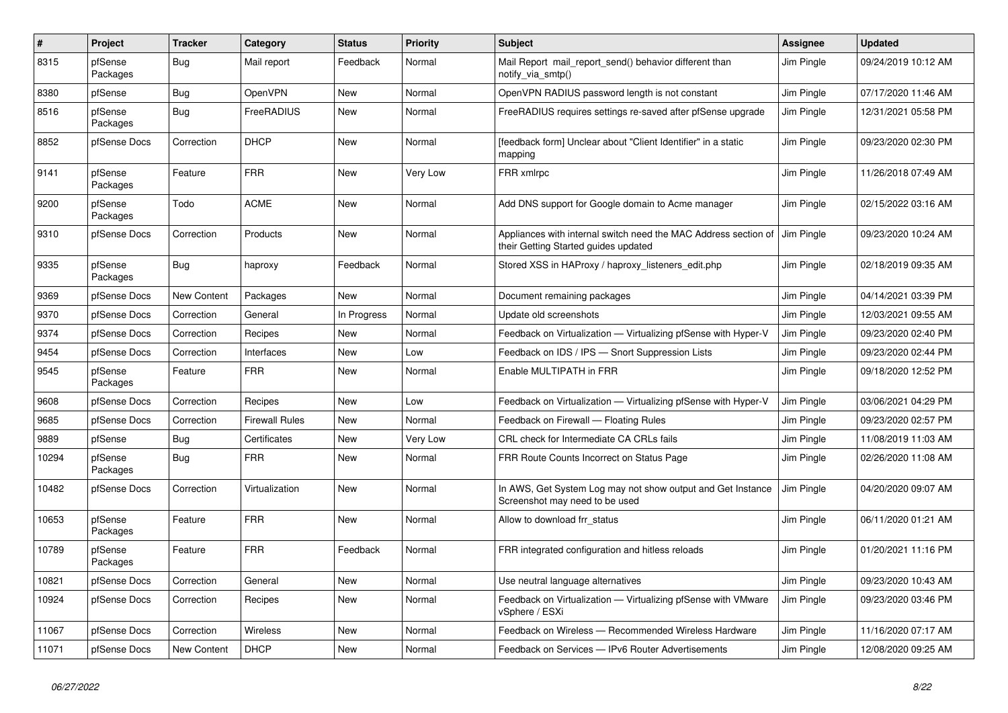| $\sharp$ | Project             | <b>Tracker</b>     | Category              | <b>Status</b> | Priority | <b>Subject</b>                                                                                          | <b>Assignee</b> | <b>Updated</b>      |
|----------|---------------------|--------------------|-----------------------|---------------|----------|---------------------------------------------------------------------------------------------------------|-----------------|---------------------|
| 8315     | pfSense<br>Packages | <b>Bug</b>         | Mail report           | Feedback      | Normal   | Mail Report mail_report_send() behavior different than<br>notify_via_smtp()                             | Jim Pingle      | 09/24/2019 10:12 AM |
| 8380     | pfSense             | Bug                | OpenVPN               | <b>New</b>    | Normal   | OpenVPN RADIUS password length is not constant                                                          | Jim Pingle      | 07/17/2020 11:46 AM |
| 8516     | pfSense<br>Packages | Bug                | FreeRADIUS            | New           | Normal   | FreeRADIUS requires settings re-saved after pfSense upgrade                                             | Jim Pingle      | 12/31/2021 05:58 PM |
| 8852     | pfSense Docs        | Correction         | <b>DHCP</b>           | <b>New</b>    | Normal   | [feedback form] Unclear about "Client Identifier" in a static<br>mapping                                | Jim Pingle      | 09/23/2020 02:30 PM |
| 9141     | pfSense<br>Packages | Feature            | <b>FRR</b>            | New           | Very Low | FRR xmlrpc                                                                                              | Jim Pingle      | 11/26/2018 07:49 AM |
| 9200     | pfSense<br>Packages | Todo               | <b>ACME</b>           | <b>New</b>    | Normal   | Add DNS support for Google domain to Acme manager                                                       | Jim Pingle      | 02/15/2022 03:16 AM |
| 9310     | pfSense Docs        | Correction         | Products              | <b>New</b>    | Normal   | Appliances with internal switch need the MAC Address section of<br>their Getting Started guides updated | Jim Pingle      | 09/23/2020 10:24 AM |
| 9335     | pfSense<br>Packages | Bug                | haproxy               | Feedback      | Normal   | Stored XSS in HAProxy / haproxy_listeners_edit.php                                                      | Jim Pingle      | 02/18/2019 09:35 AM |
| 9369     | pfSense Docs        | <b>New Content</b> | Packages              | New           | Normal   | Document remaining packages                                                                             | Jim Pingle      | 04/14/2021 03:39 PM |
| 9370     | pfSense Docs        | Correction         | General               | In Progress   | Normal   | Update old screenshots                                                                                  | Jim Pingle      | 12/03/2021 09:55 AM |
| 9374     | pfSense Docs        | Correction         | Recipes               | New           | Normal   | Feedback on Virtualization — Virtualizing pfSense with Hyper-V                                          | Jim Pingle      | 09/23/2020 02:40 PM |
| 9454     | pfSense Docs        | Correction         | Interfaces            | New           | Low      | Feedback on IDS / IPS - Snort Suppression Lists                                                         | Jim Pingle      | 09/23/2020 02:44 PM |
| 9545     | pfSense<br>Packages | Feature            | FRR                   | New           | Normal   | Enable MULTIPATH in FRR                                                                                 | Jim Pingle      | 09/18/2020 12:52 PM |
| 9608     | pfSense Docs        | Correction         | Recipes               | <b>New</b>    | Low      | Feedback on Virtualization - Virtualizing pfSense with Hyper-V                                          | Jim Pingle      | 03/06/2021 04:29 PM |
| 9685     | pfSense Docs        | Correction         | <b>Firewall Rules</b> | <b>New</b>    | Normal   | Feedback on Firewall - Floating Rules                                                                   | Jim Pingle      | 09/23/2020 02:57 PM |
| 9889     | pfSense             | <b>Bug</b>         | Certificates          | <b>New</b>    | Very Low | CRL check for Intermediate CA CRLs fails                                                                | Jim Pingle      | 11/08/2019 11:03 AM |
| 10294    | pfSense<br>Packages | Bug                | <b>FRR</b>            | New           | Normal   | FRR Route Counts Incorrect on Status Page                                                               | Jim Pingle      | 02/26/2020 11:08 AM |
| 10482    | pfSense Docs        | Correction         | Virtualization        | <b>New</b>    | Normal   | In AWS, Get System Log may not show output and Get Instance<br>Screenshot may need to be used           | Jim Pingle      | 04/20/2020 09:07 AM |
| 10653    | pfSense<br>Packages | Feature            | <b>FRR</b>            | <b>New</b>    | Normal   | Allow to download frr status                                                                            | Jim Pingle      | 06/11/2020 01:21 AM |
| 10789    | pfSense<br>Packages | Feature            | <b>FRR</b>            | Feedback      | Normal   | FRR integrated configuration and hitless reloads                                                        | Jim Pingle      | 01/20/2021 11:16 PM |
| 10821    | pfSense Docs        | Correction         | General               | New           | Normal   | Use neutral language alternatives                                                                       | Jim Pingle      | 09/23/2020 10:43 AM |
| 10924    | pfSense Docs        | Correction         | Recipes               | New           | Normal   | Feedback on Virtualization — Virtualizing pfSense with VMware<br>vSphere / ESXi                         | Jim Pingle      | 09/23/2020 03:46 PM |
| 11067    | pfSense Docs        | Correction         | Wireless              | <b>New</b>    | Normal   | Feedback on Wireless - Recommended Wireless Hardware                                                    | Jim Pingle      | 11/16/2020 07:17 AM |
| 11071    | pfSense Docs        | New Content        | <b>DHCP</b>           | New           | Normal   | Feedback on Services - IPv6 Router Advertisements                                                       | Jim Pingle      | 12/08/2020 09:25 AM |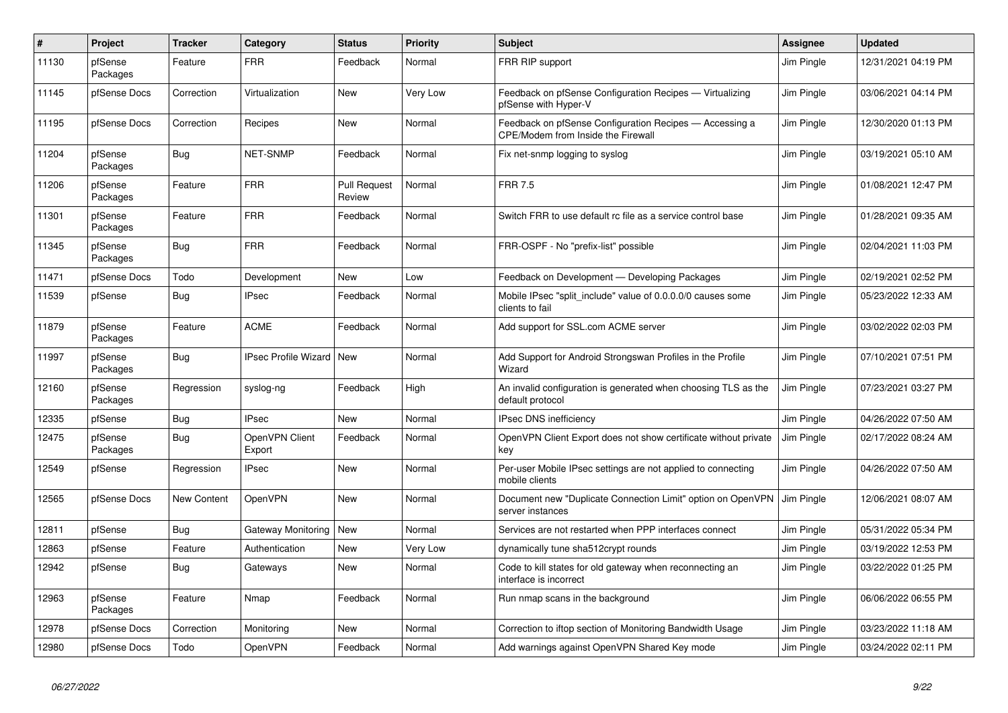| $\sharp$ | <b>Project</b>      | <b>Tracker</b> | Category                          | <b>Status</b>                 | Priority | <b>Subject</b>                                                                                | Assignee   | Updated             |
|----------|---------------------|----------------|-----------------------------------|-------------------------------|----------|-----------------------------------------------------------------------------------------------|------------|---------------------|
| 11130    | pfSense<br>Packages | Feature        | FRR                               | Feedback                      | Normal   | FRR RIP support                                                                               | Jim Pingle | 12/31/2021 04:19 PM |
| 11145    | pfSense Docs        | Correction     | Virtualization                    | <b>New</b>                    | Very Low | Feedback on pfSense Configuration Recipes - Virtualizing<br>pfSense with Hyper-V              | Jim Pingle | 03/06/2021 04:14 PM |
| 11195    | pfSense Docs        | Correction     | Recipes                           | <b>New</b>                    | Normal   | Feedback on pfSense Configuration Recipes - Accessing a<br>CPE/Modem from Inside the Firewall | Jim Pingle | 12/30/2020 01:13 PM |
| 11204    | pfSense<br>Packages | <b>Bug</b>     | NET-SNMP                          | Feedback                      | Normal   | Fix net-snmp logging to syslog                                                                | Jim Pingle | 03/19/2021 05:10 AM |
| 11206    | pfSense<br>Packages | Feature        | FRR                               | <b>Pull Request</b><br>Review | Normal   | <b>FRR 7.5</b>                                                                                | Jim Pingle | 01/08/2021 12:47 PM |
| 11301    | pfSense<br>Packages | Feature        | <b>FRR</b>                        | Feedback                      | Normal   | Switch FRR to use default rc file as a service control base                                   | Jim Pingle | 01/28/2021 09:35 AM |
| 11345    | pfSense<br>Packages | <b>Bug</b>     | <b>FRR</b>                        | Feedback                      | Normal   | FRR-OSPF - No "prefix-list" possible                                                          | Jim Pingle | 02/04/2021 11:03 PM |
| 11471    | pfSense Docs        | Todo           | Development                       | New                           | Low      | Feedback on Development - Developing Packages                                                 | Jim Pingle | 02/19/2021 02:52 PM |
| 11539    | pfSense             | Bug            | <b>IPsec</b>                      | Feedback                      | Normal   | Mobile IPsec "split include" value of 0.0.0.0/0 causes some<br>clients to fail                | Jim Pingle | 05/23/2022 12:33 AM |
| 11879    | pfSense<br>Packages | Feature        | ACME                              | Feedback                      | Normal   | Add support for SSL.com ACME server                                                           | Jim Pingle | 03/02/2022 02:03 PM |
| 11997    | pfSense<br>Packages | Bug            | <b>IPsec Profile Wizard   New</b> |                               | Normal   | Add Support for Android Strongswan Profiles in the Profile<br>Wizard                          | Jim Pingle | 07/10/2021 07:51 PM |
| 12160    | pfSense<br>Packages | Regression     | syslog-ng                         | Feedback                      | High     | An invalid configuration is generated when choosing TLS as the<br>default protocol            | Jim Pingle | 07/23/2021 03:27 PM |
| 12335    | pfSense             | Bug            | <b>IPsec</b>                      | New                           | Normal   | <b>IPsec DNS inefficiency</b>                                                                 | Jim Pingle | 04/26/2022 07:50 AM |
| 12475    | pfSense<br>Packages | Bug            | OpenVPN Client<br>Export          | Feedback                      | Normal   | OpenVPN Client Export does not show certificate without private<br>key                        | Jim Pingle | 02/17/2022 08:24 AM |
| 12549    | pfSense             | Regression     | IPsec                             | <b>New</b>                    | Normal   | Per-user Mobile IPsec settings are not applied to connecting<br>mobile clients                | Jim Pingle | 04/26/2022 07:50 AM |
| 12565    | pfSense Docs        | New Content    | <b>OpenVPN</b>                    | <b>New</b>                    | Normal   | Document new "Duplicate Connection Limit" option on OpenVPN<br>server instances               | Jim Pingle | 12/06/2021 08:07 AM |
| 12811    | pfSense             | <b>Bug</b>     | Gateway Monitoring   New          |                               | Normal   | Services are not restarted when PPP interfaces connect                                        | Jim Pingle | 05/31/2022 05:34 PM |
| 12863    | pfSense             | Feature        | Authentication                    | <b>New</b>                    | Very Low | dynamically tune sha512crypt rounds                                                           | Jim Pingle | 03/19/2022 12:53 PM |
| 12942    | pfSense             | Bug            | Gateways                          | <b>New</b>                    | Normal   | Code to kill states for old gateway when reconnecting an<br>interface is incorrect            | Jim Pingle | 03/22/2022 01:25 PM |
| 12963    | pfSense<br>Packages | Feature        | Nmap                              | Feedback                      | Normal   | Run nmap scans in the background                                                              | Jim Pingle | 06/06/2022 06:55 PM |
| 12978    | pfSense Docs        | Correction     | Monitoring                        | <b>New</b>                    | Normal   | Correction to iftop section of Monitoring Bandwidth Usage                                     | Jim Pingle | 03/23/2022 11:18 AM |
| 12980    | pfSense Docs        | Todo           | OpenVPN                           | Feedback                      | Normal   | Add warnings against OpenVPN Shared Key mode                                                  | Jim Pingle | 03/24/2022 02:11 PM |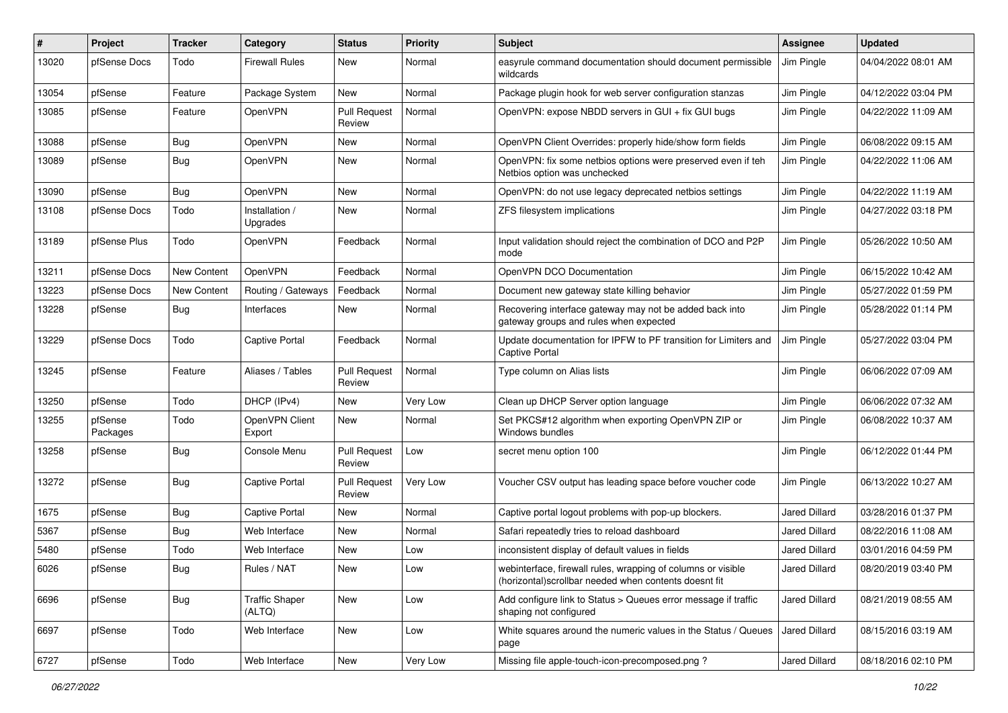| #     | <b>Project</b>      | <b>Tracker</b>     | Category                        | <b>Status</b>                 | <b>Priority</b> | <b>Subject</b>                                                                                                         | Assignee             | <b>Updated</b>      |
|-------|---------------------|--------------------|---------------------------------|-------------------------------|-----------------|------------------------------------------------------------------------------------------------------------------------|----------------------|---------------------|
| 13020 | pfSense Docs        | Todo               | <b>Firewall Rules</b>           | New                           | Normal          | easyrule command documentation should document permissible<br>wildcards                                                | Jim Pingle           | 04/04/2022 08:01 AM |
| 13054 | pfSense             | Feature            | Package System                  | New                           | Normal          | Package plugin hook for web server configuration stanzas                                                               | Jim Pingle           | 04/12/2022 03:04 PM |
| 13085 | pfSense             | Feature            | OpenVPN                         | <b>Pull Request</b><br>Review | Normal          | OpenVPN: expose NBDD servers in GUI + fix GUI bugs                                                                     | Jim Pingle           | 04/22/2022 11:09 AM |
| 13088 | pfSense             | Bug                | OpenVPN                         | New                           | Normal          | OpenVPN Client Overrides: properly hide/show form fields                                                               | Jim Pingle           | 06/08/2022 09:15 AM |
| 13089 | pfSense             | <b>Bug</b>         | OpenVPN                         | New                           | Normal          | OpenVPN: fix some netbios options were preserved even if teh<br>Netbios option was unchecked                           | Jim Pingle           | 04/22/2022 11:06 AM |
| 13090 | pfSense             | <b>Bug</b>         | <b>OpenVPN</b>                  | New                           | Normal          | OpenVPN: do not use legacy deprecated netbios settings                                                                 | Jim Pingle           | 04/22/2022 11:19 AM |
| 13108 | pfSense Docs        | Todo               | Installation /<br>Upgrades      | New                           | Normal          | ZFS filesystem implications                                                                                            | Jim Pingle           | 04/27/2022 03:18 PM |
| 13189 | pfSense Plus        | Todo               | OpenVPN                         | Feedback                      | Normal          | Input validation should reject the combination of DCO and P2P<br>mode                                                  | Jim Pingle           | 05/26/2022 10:50 AM |
| 13211 | pfSense Docs        | New Content        | <b>OpenVPN</b>                  | Feedback                      | Normal          | OpenVPN DCO Documentation                                                                                              | Jim Pingle           | 06/15/2022 10:42 AM |
| 13223 | pfSense Docs        | <b>New Content</b> | Routing / Gateways              | Feedback                      | Normal          | Document new gateway state killing behavior                                                                            | Jim Pingle           | 05/27/2022 01:59 PM |
| 13228 | pfSense             | Bug                | Interfaces                      | New                           | Normal          | Recovering interface gateway may not be added back into<br>gateway groups and rules when expected                      | Jim Pingle           | 05/28/2022 01:14 PM |
| 13229 | pfSense Docs        | Todo               | <b>Captive Portal</b>           | Feedback                      | Normal          | Update documentation for IPFW to PF transition for Limiters and<br><b>Captive Portal</b>                               | Jim Pingle           | 05/27/2022 03:04 PM |
| 13245 | pfSense             | Feature            | Aliases / Tables                | <b>Pull Request</b><br>Review | Normal          | Type column on Alias lists                                                                                             | Jim Pingle           | 06/06/2022 07:09 AM |
| 13250 | pfSense             | Todo               | DHCP (IPv4)                     | New                           | Very Low        | Clean up DHCP Server option language                                                                                   | Jim Pingle           | 06/06/2022 07:32 AM |
| 13255 | pfSense<br>Packages | Todo               | OpenVPN Client<br>Export        | New                           | Normal          | Set PKCS#12 algorithm when exporting OpenVPN ZIP or<br>Windows bundles                                                 | Jim Pingle           | 06/08/2022 10:37 AM |
| 13258 | pfSense             | Bug                | Console Menu                    | <b>Pull Request</b><br>Review | Low             | secret menu option 100                                                                                                 | Jim Pingle           | 06/12/2022 01:44 PM |
| 13272 | pfSense             | <b>Bug</b>         | <b>Captive Portal</b>           | <b>Pull Request</b><br>Review | Very Low        | Voucher CSV output has leading space before voucher code                                                               | Jim Pingle           | 06/13/2022 10:27 AM |
| 1675  | pfSense             | Bug                | <b>Captive Portal</b>           | New                           | Normal          | Captive portal logout problems with pop-up blockers.                                                                   | Jared Dillard        | 03/28/2016 01:37 PM |
| 5367  | pfSense             | <b>Bug</b>         | Web Interface                   | New                           | Normal          | Safari repeatedly tries to reload dashboard                                                                            | Jared Dillard        | 08/22/2016 11:08 AM |
| 5480  | pfSense             | Todo               | Web Interface                   | New                           | Low             | inconsistent display of default values in fields                                                                       | Jared Dillard        | 03/01/2016 04:59 PM |
| 6026  | pfSense             | Bug                | Rules / NAT                     | New                           | Low             | webinterface, firewall rules, wrapping of columns or visible<br>(horizontal) scrollbar needed when contents doesnt fit | Jared Dillard        | 08/20/2019 03:40 PM |
| 6696  | pfSense             | Bug                | <b>Traffic Shaper</b><br>(ALTQ) | New                           | Low             | Add configure link to Status > Queues error message if traffic<br>shaping not configured                               | <b>Jared Dillard</b> | 08/21/2019 08:55 AM |
| 6697  | pfSense             | Todo               | Web Interface                   | New                           | Low             | White squares around the numeric values in the Status / Queues<br>page                                                 | Jared Dillard        | 08/15/2016 03:19 AM |
| 6727  | pfSense             | Todo               | Web Interface                   | New                           | Very Low        | Missing file apple-touch-icon-precomposed.png ?                                                                        | Jared Dillard        | 08/18/2016 02:10 PM |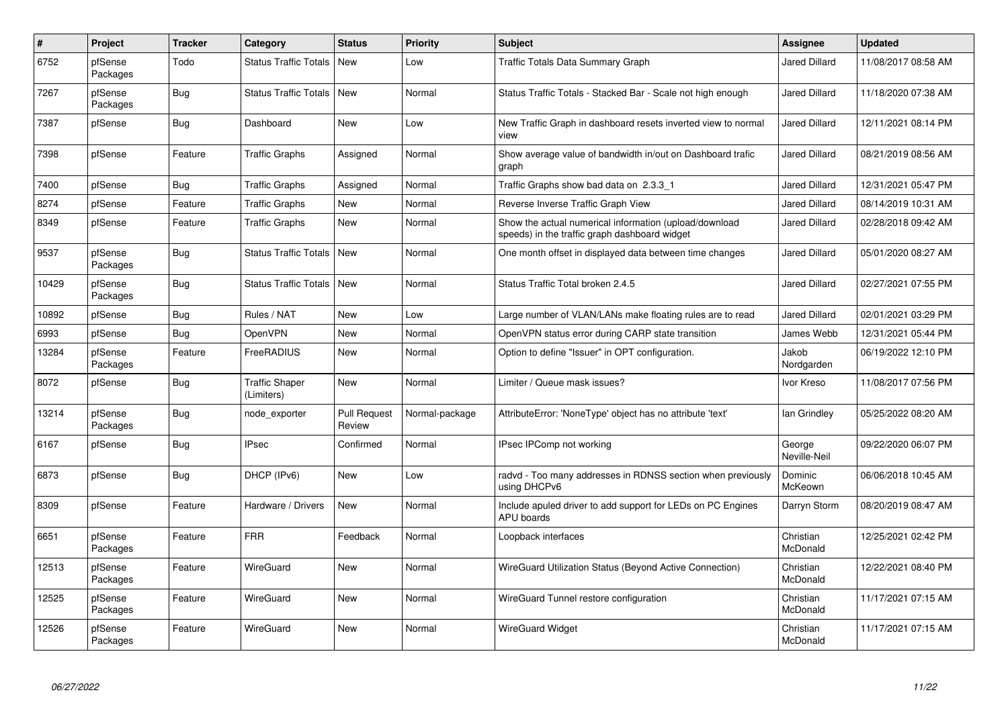| $\#$  | <b>Project</b>      | <b>Tracker</b> | Category                            | <b>Status</b>                 | <b>Priority</b> | <b>Subject</b>                                                                                          | Assignee               | <b>Updated</b>      |
|-------|---------------------|----------------|-------------------------------------|-------------------------------|-----------------|---------------------------------------------------------------------------------------------------------|------------------------|---------------------|
| 6752  | pfSense<br>Packages | Todo           | Status Traffic Totals               | <b>New</b>                    | Low             | <b>Traffic Totals Data Summary Graph</b>                                                                | <b>Jared Dillard</b>   | 11/08/2017 08:58 AM |
| 7267  | pfSense<br>Packages | Bug            | Status Traffic Totals   New         |                               | Normal          | Status Traffic Totals - Stacked Bar - Scale not high enough                                             | Jared Dillard          | 11/18/2020 07:38 AM |
| 7387  | pfSense             | <b>Bug</b>     | Dashboard                           | New                           | Low             | New Traffic Graph in dashboard resets inverted view to normal<br>view                                   | <b>Jared Dillard</b>   | 12/11/2021 08:14 PM |
| 7398  | pfSense             | Feature        | <b>Traffic Graphs</b>               | Assigned                      | Normal          | Show average value of bandwidth in/out on Dashboard trafic<br>graph                                     | <b>Jared Dillard</b>   | 08/21/2019 08:56 AM |
| 7400  | pfSense             | Bug            | <b>Traffic Graphs</b>               | Assigned                      | Normal          | Traffic Graphs show bad data on 2.3.3 1                                                                 | <b>Jared Dillard</b>   | 12/31/2021 05:47 PM |
| 8274  | pfSense             | Feature        | <b>Traffic Graphs</b>               | New                           | Normal          | Reverse Inverse Traffic Graph View                                                                      | Jared Dillard          | 08/14/2019 10:31 AM |
| 8349  | pfSense             | Feature        | Traffic Graphs                      | <b>New</b>                    | Normal          | Show the actual numerical information (upload/download<br>speeds) in the traffic graph dashboard widget | <b>Jared Dillard</b>   | 02/28/2018 09:42 AM |
| 9537  | pfSense<br>Packages | Bug            | <b>Status Traffic Totals</b>        | <b>New</b>                    | Normal          | One month offset in displayed data between time changes                                                 | <b>Jared Dillard</b>   | 05/01/2020 08:27 AM |
| 10429 | pfSense<br>Packages | <b>Bug</b>     | <b>Status Traffic Totals</b>        | <b>New</b>                    | Normal          | Status Traffic Total broken 2.4.5                                                                       | <b>Jared Dillard</b>   | 02/27/2021 07:55 PM |
| 10892 | pfSense             | <b>Bug</b>     | Rules / NAT                         | <b>New</b>                    | Low             | Large number of VLAN/LANs make floating rules are to read                                               | <b>Jared Dillard</b>   | 02/01/2021 03:29 PM |
| 6993  | pfSense             | <b>Bug</b>     | <b>OpenVPN</b>                      | <b>New</b>                    | Normal          | OpenVPN status error during CARP state transition                                                       | James Webb             | 12/31/2021 05:44 PM |
| 13284 | pfSense<br>Packages | Feature        | FreeRADIUS                          | <b>New</b>                    | Normal          | Option to define "Issuer" in OPT configuration.                                                         | Jakob<br>Nordgarden    | 06/19/2022 12:10 PM |
| 8072  | pfSense             | <b>Bug</b>     | <b>Traffic Shaper</b><br>(Limiters) | <b>New</b>                    | Normal          | Limiter / Queue mask issues?                                                                            | Ivor Kreso             | 11/08/2017 07:56 PM |
| 13214 | pfSense<br>Packages | <b>Bug</b>     | node_exporter                       | <b>Pull Request</b><br>Review | Normal-package  | AttributeError: 'NoneType' object has no attribute 'text'                                               | lan Grindley           | 05/25/2022 08:20 AM |
| 6167  | pfSense             | <b>Bug</b>     | <b>IPsec</b>                        | Confirmed                     | Normal          | IPsec IPComp not working                                                                                | George<br>Neville-Neil | 09/22/2020 06:07 PM |
| 6873  | pfSense             | Bug            | DHCP (IPv6)                         | <b>New</b>                    | Low             | radvd - Too many addresses in RDNSS section when previously<br>using DHCPv6                             | Dominic<br>McKeown     | 06/06/2018 10:45 AM |
| 8309  | pfSense             | Feature        | Hardware / Drivers                  | <b>New</b>                    | Normal          | Include apuled driver to add support for LEDs on PC Engines<br>APU boards                               | Darryn Storm           | 08/20/2019 08:47 AM |
| 6651  | pfSense<br>Packages | Feature        | <b>FRR</b>                          | Feedback                      | Normal          | Loopback interfaces                                                                                     | Christian<br>McDonald  | 12/25/2021 02:42 PM |
| 12513 | pfSense<br>Packages | Feature        | WireGuard                           | <b>New</b>                    | Normal          | WireGuard Utilization Status (Beyond Active Connection)                                                 | Christian<br>McDonald  | 12/22/2021 08:40 PM |
| 12525 | pfSense<br>Packages | Feature        | WireGuard                           | New                           | Normal          | WireGuard Tunnel restore configuration                                                                  | Christian<br>McDonald  | 11/17/2021 07:15 AM |
| 12526 | pfSense<br>Packages | Feature        | WireGuard                           | <b>New</b>                    | Normal          | <b>WireGuard Widget</b>                                                                                 | Christian<br>McDonald  | 11/17/2021 07:15 AM |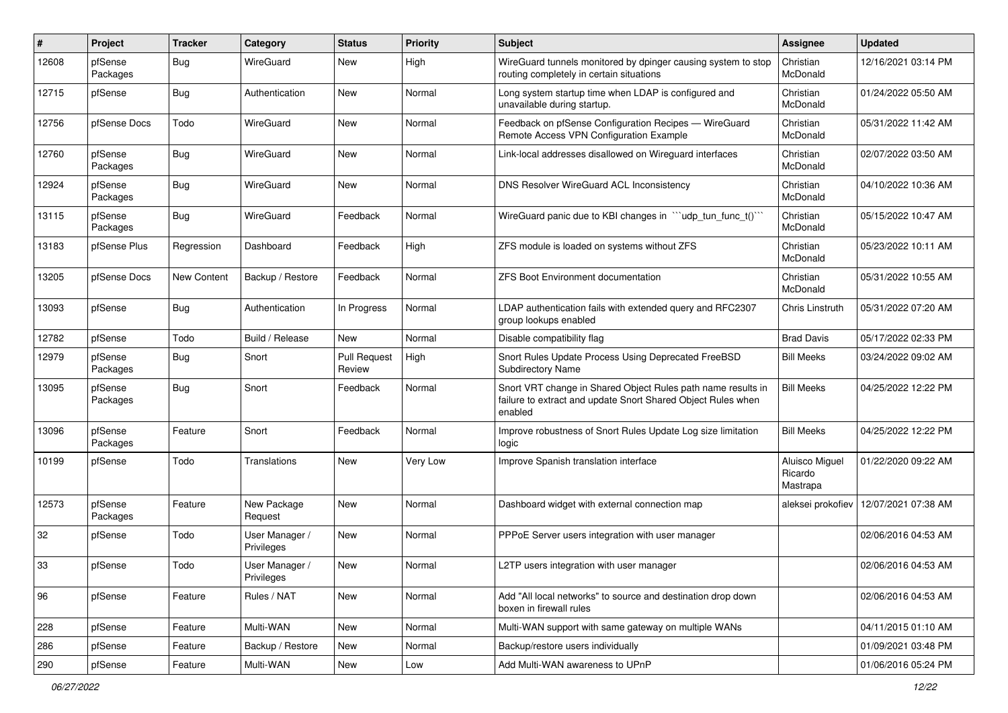| $\pmb{\#}$ | Project             | <b>Tracker</b> | Category                     | <b>Status</b>                 | <b>Priority</b> | Subject                                                                                                                                 | <b>Assignee</b>                       | <b>Updated</b>      |
|------------|---------------------|----------------|------------------------------|-------------------------------|-----------------|-----------------------------------------------------------------------------------------------------------------------------------------|---------------------------------------|---------------------|
| 12608      | pfSense<br>Packages | <b>Bug</b>     | WireGuard                    | <b>New</b>                    | High            | WireGuard tunnels monitored by dpinger causing system to stop<br>routing completely in certain situations                               | Christian<br>McDonald                 | 12/16/2021 03:14 PM |
| 12715      | pfSense             | <b>Bug</b>     | Authentication               | <b>New</b>                    | Normal          | Long system startup time when LDAP is configured and<br>unavailable during startup.                                                     | Christian<br>McDonald                 | 01/24/2022 05:50 AM |
| 12756      | pfSense Docs        | Todo           | WireGuard                    | New                           | Normal          | Feedback on pfSense Configuration Recipes - WireGuard<br>Remote Access VPN Configuration Example                                        | Christian<br>McDonald                 | 05/31/2022 11:42 AM |
| 12760      | pfSense<br>Packages | <b>Bug</b>     | WireGuard                    | <b>New</b>                    | Normal          | Link-local addresses disallowed on Wireguard interfaces                                                                                 | Christian<br>McDonald                 | 02/07/2022 03:50 AM |
| 12924      | pfSense<br>Packages | <b>Bug</b>     | WireGuard                    | New                           | Normal          | DNS Resolver WireGuard ACL Inconsistency                                                                                                | Christian<br>McDonald                 | 04/10/2022 10:36 AM |
| 13115      | pfSense<br>Packages | Bug            | WireGuard                    | Feedback                      | Normal          | WireGuard panic due to KBI changes in ""udp_tun_func_t()"                                                                               | Christian<br>McDonald                 | 05/15/2022 10:47 AM |
| 13183      | pfSense Plus        | Regression     | Dashboard                    | Feedback                      | High            | ZFS module is loaded on systems without ZFS                                                                                             | Christian<br>McDonald                 | 05/23/2022 10:11 AM |
| 13205      | pfSense Docs        | New Content    | Backup / Restore             | Feedback                      | Normal          | <b>ZFS Boot Environment documentation</b>                                                                                               | Christian<br>McDonald                 | 05/31/2022 10:55 AM |
| 13093      | pfSense             | <b>Bug</b>     | Authentication               | In Progress                   | Normal          | LDAP authentication fails with extended query and RFC2307<br>group lookups enabled                                                      | Chris Linstruth                       | 05/31/2022 07:20 AM |
| 12782      | pfSense             | Todo           | Build / Release              | <b>New</b>                    | Normal          | Disable compatibility flag                                                                                                              | <b>Brad Davis</b>                     | 05/17/2022 02:33 PM |
| 12979      | pfSense<br>Packages | <b>Bug</b>     | Snort                        | <b>Pull Request</b><br>Review | High            | Snort Rules Update Process Using Deprecated FreeBSD<br><b>Subdirectory Name</b>                                                         | <b>Bill Meeks</b>                     | 03/24/2022 09:02 AM |
| 13095      | pfSense<br>Packages | Bug            | Snort                        | Feedback                      | Normal          | Snort VRT change in Shared Object Rules path name results in<br>failure to extract and update Snort Shared Object Rules when<br>enabled | <b>Bill Meeks</b>                     | 04/25/2022 12:22 PM |
| 13096      | pfSense<br>Packages | Feature        | Snort                        | Feedback                      | Normal          | Improve robustness of Snort Rules Update Log size limitation<br>logic                                                                   | <b>Bill Meeks</b>                     | 04/25/2022 12:22 PM |
| 10199      | pfSense             | Todo           | Translations                 | New                           | Very Low        | Improve Spanish translation interface                                                                                                   | Aluisco Miguel<br>Ricardo<br>Mastrapa | 01/22/2020 09:22 AM |
| 12573      | pfSense<br>Packages | Feature        | New Package<br>Request       | New                           | Normal          | Dashboard widget with external connection map                                                                                           | aleksei prokofiev                     | 12/07/2021 07:38 AM |
| 32         | pfSense             | Todo           | User Manager /<br>Privileges | New                           | Normal          | PPPoE Server users integration with user manager                                                                                        |                                       | 02/06/2016 04:53 AM |
| 33         | pfSense             | Todo           | User Manager /<br>Privileges | New                           | Normal          | L2TP users integration with user manager                                                                                                |                                       | 02/06/2016 04:53 AM |
| 96         | pfSense             | Feature        | Rules / NAT                  | New                           | Normal          | Add "All local networks" to source and destination drop down<br>boxen in firewall rules                                                 |                                       | 02/06/2016 04:53 AM |
| 228        | pfSense             | Feature        | Multi-WAN                    | <b>New</b>                    | Normal          | Multi-WAN support with same gateway on multiple WANs                                                                                    |                                       | 04/11/2015 01:10 AM |
| 286        | pfSense             | Feature        | Backup / Restore             | New                           | Normal          | Backup/restore users individually                                                                                                       |                                       | 01/09/2021 03:48 PM |
| 290        | pfSense             | Feature        | Multi-WAN                    | New                           | Low             | Add Multi-WAN awareness to UPnP                                                                                                         |                                       | 01/06/2016 05:24 PM |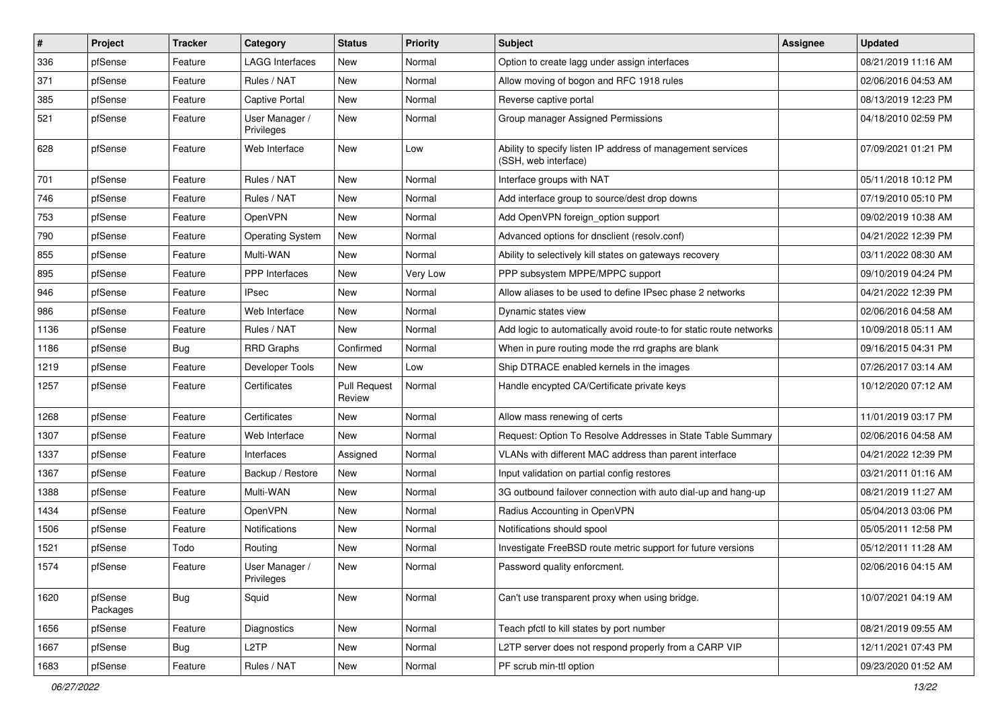| ∦    | Project             | <b>Tracker</b> | Category                     | <b>Status</b>                 | <b>Priority</b> | <b>Subject</b>                                                                      | <b>Assignee</b> | Updated             |
|------|---------------------|----------------|------------------------------|-------------------------------|-----------------|-------------------------------------------------------------------------------------|-----------------|---------------------|
| 336  | pfSense             | Feature        | LAGG Interfaces              | New                           | Normal          | Option to create lagg under assign interfaces                                       |                 | 08/21/2019 11:16 AM |
| 371  | pfSense             | Feature        | Rules / NAT                  | New                           | Normal          | Allow moving of bogon and RFC 1918 rules                                            |                 | 02/06/2016 04:53 AM |
| 385  | pfSense             | Feature        | Captive Portal               | New                           | Normal          | Reverse captive portal                                                              |                 | 08/13/2019 12:23 PM |
| 521  | pfSense             | Feature        | User Manager /<br>Privileges | New                           | Normal          | Group manager Assigned Permissions                                                  |                 | 04/18/2010 02:59 PM |
| 628  | pfSense             | Feature        | Web Interface                | New                           | Low             | Ability to specify listen IP address of management services<br>(SSH, web interface) |                 | 07/09/2021 01:21 PM |
| 701  | pfSense             | Feature        | Rules / NAT                  | <b>New</b>                    | Normal          | Interface groups with NAT                                                           |                 | 05/11/2018 10:12 PM |
| 746  | pfSense             | Feature        | Rules / NAT                  | New                           | Normal          | Add interface group to source/dest drop downs                                       |                 | 07/19/2010 05:10 PM |
| 753  | pfSense             | Feature        | OpenVPN                      | New                           | Normal          | Add OpenVPN foreign_option support                                                  |                 | 09/02/2019 10:38 AM |
| 790  | pfSense             | Feature        | <b>Operating System</b>      | New                           | Normal          | Advanced options for dnsclient (resolv.conf)                                        |                 | 04/21/2022 12:39 PM |
| 855  | pfSense             | Feature        | Multi-WAN                    | New                           | Normal          | Ability to selectively kill states on gateways recovery                             |                 | 03/11/2022 08:30 AM |
| 895  | pfSense             | Feature        | <b>PPP</b> Interfaces        | New                           | Very Low        | PPP subsystem MPPE/MPPC support                                                     |                 | 09/10/2019 04:24 PM |
| 946  | pfSense             | Feature        | IPsec                        | New                           | Normal          | Allow aliases to be used to define IPsec phase 2 networks                           |                 | 04/21/2022 12:39 PM |
| 986  | pfSense             | Feature        | Web Interface                | New                           | Normal          | Dynamic states view                                                                 |                 | 02/06/2016 04:58 AM |
| 1136 | pfSense             | Feature        | Rules / NAT                  | New                           | Normal          | Add logic to automatically avoid route-to for static route networks                 |                 | 10/09/2018 05:11 AM |
| 1186 | pfSense             | Bug            | <b>RRD Graphs</b>            | Confirmed                     | Normal          | When in pure routing mode the rrd graphs are blank                                  |                 | 09/16/2015 04:31 PM |
| 1219 | pfSense             | Feature        | Developer Tools              | New                           | Low             | Ship DTRACE enabled kernels in the images                                           |                 | 07/26/2017 03:14 AM |
| 1257 | pfSense             | Feature        | Certificates                 | <b>Pull Request</b><br>Review | Normal          | Handle encypted CA/Certificate private keys                                         |                 | 10/12/2020 07:12 AM |
| 1268 | pfSense             | Feature        | Certificates                 | New                           | Normal          | Allow mass renewing of certs                                                        |                 | 11/01/2019 03:17 PM |
| 1307 | pfSense             | Feature        | Web Interface                | New                           | Normal          | Request: Option To Resolve Addresses in State Table Summary                         |                 | 02/06/2016 04:58 AM |
| 1337 | pfSense             | Feature        | Interfaces                   | Assigned                      | Normal          | VLANs with different MAC address than parent interface                              |                 | 04/21/2022 12:39 PM |
| 1367 | pfSense             | Feature        | Backup / Restore             | New                           | Normal          | Input validation on partial config restores                                         |                 | 03/21/2011 01:16 AM |
| 1388 | pfSense             | Feature        | Multi-WAN                    | New                           | Normal          | 3G outbound failover connection with auto dial-up and hang-up                       |                 | 08/21/2019 11:27 AM |
| 1434 | pfSense             | Feature        | OpenVPN                      | New                           | Normal          | Radius Accounting in OpenVPN                                                        |                 | 05/04/2013 03:06 PM |
| 1506 | pfSense             | Feature        | Notifications                | New                           | Normal          | Notifications should spool                                                          |                 | 05/05/2011 12:58 PM |
| 1521 | pfSense             | Todo           | Routing                      | New                           | Normal          | Investigate FreeBSD route metric support for future versions                        |                 | 05/12/2011 11:28 AM |
| 1574 | pfSense             | Feature        | User Manager /<br>Privileges | New                           | Normal          | Password quality enforcment.                                                        |                 | 02/06/2016 04:15 AM |
| 1620 | pfSense<br>Packages | <b>Bug</b>     | Squid                        | New                           | Normal          | Can't use transparent proxy when using bridge.                                      |                 | 10/07/2021 04:19 AM |
| 1656 | pfSense             | Feature        | Diagnostics                  | New                           | Normal          | Teach pfctl to kill states by port number                                           |                 | 08/21/2019 09:55 AM |
| 1667 | pfSense             | <b>Bug</b>     | L <sub>2</sub> TP            | New                           | Normal          | L2TP server does not respond properly from a CARP VIP                               |                 | 12/11/2021 07:43 PM |
| 1683 | pfSense             | Feature        | Rules / NAT                  | New                           | Normal          | PF scrub min-ttl option                                                             |                 | 09/23/2020 01:52 AM |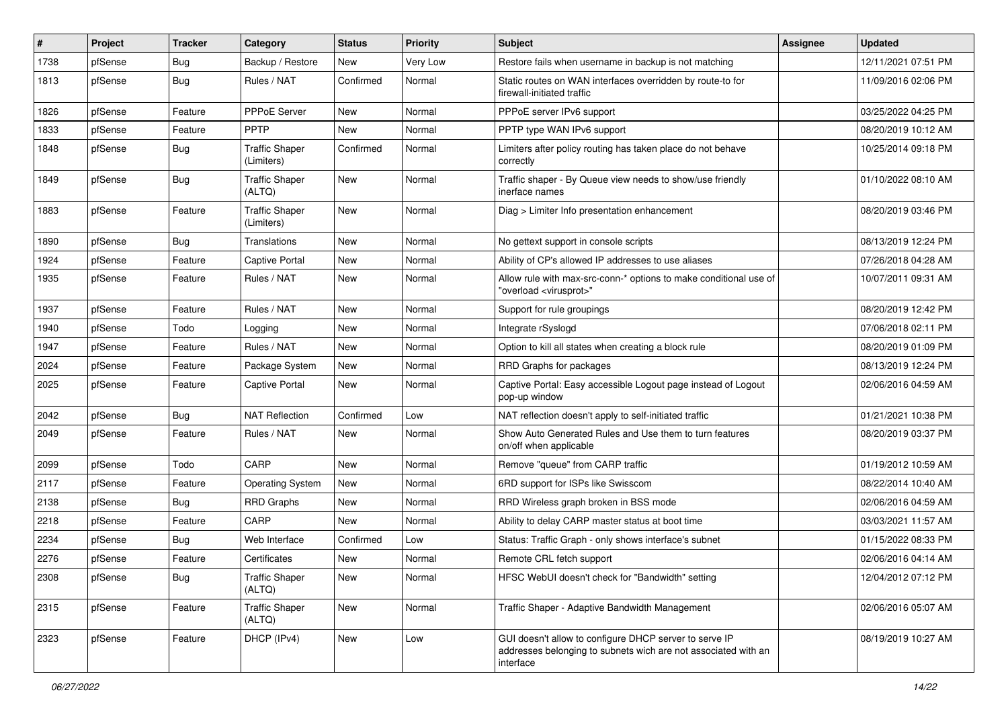| #    | <b>Project</b> | <b>Tracker</b> | Category                            | <b>Status</b> | <b>Priority</b> | Subject                                                                                                                               | Assignee | <b>Updated</b>      |
|------|----------------|----------------|-------------------------------------|---------------|-----------------|---------------------------------------------------------------------------------------------------------------------------------------|----------|---------------------|
| 1738 | pfSense        | <b>Bug</b>     | Backup / Restore                    | New           | Very Low        | Restore fails when username in backup is not matching                                                                                 |          | 12/11/2021 07:51 PM |
| 1813 | pfSense        | <b>Bug</b>     | Rules / NAT                         | Confirmed     | Normal          | Static routes on WAN interfaces overridden by route-to for<br>firewall-initiated traffic                                              |          | 11/09/2016 02:06 PM |
| 1826 | pfSense        | Feature        | <b>PPPoE Server</b>                 | <b>New</b>    | Normal          | PPPoE server IPv6 support                                                                                                             |          | 03/25/2022 04:25 PM |
| 1833 | pfSense        | Feature        | <b>PPTP</b>                         | New           | Normal          | PPTP type WAN IPv6 support                                                                                                            |          | 08/20/2019 10:12 AM |
| 1848 | pfSense        | <b>Bug</b>     | <b>Traffic Shaper</b><br>(Limiters) | Confirmed     | Normal          | Limiters after policy routing has taken place do not behave<br>correctly                                                              |          | 10/25/2014 09:18 PM |
| 1849 | pfSense        | <b>Bug</b>     | <b>Traffic Shaper</b><br>(ALTQ)     | New           | Normal          | Traffic shaper - By Queue view needs to show/use friendly<br>inerface names                                                           |          | 01/10/2022 08:10 AM |
| 1883 | pfSense        | Feature        | <b>Traffic Shaper</b><br>(Limiters) | New           | Normal          | Diag > Limiter Info presentation enhancement                                                                                          |          | 08/20/2019 03:46 PM |
| 1890 | pfSense        | <b>Bug</b>     | Translations                        | <b>New</b>    | Normal          | No gettext support in console scripts                                                                                                 |          | 08/13/2019 12:24 PM |
| 1924 | pfSense        | Feature        | <b>Captive Portal</b>               | New           | Normal          | Ability of CP's allowed IP addresses to use aliases                                                                                   |          | 07/26/2018 04:28 AM |
| 1935 | pfSense        | Feature        | Rules / NAT                         | New           | Normal          | Allow rule with max-src-conn-* options to make conditional use of<br>"overload <virusprot>"</virusprot>                               |          | 10/07/2011 09:31 AM |
| 1937 | pfSense        | Feature        | Rules / NAT                         | <b>New</b>    | Normal          | Support for rule groupings                                                                                                            |          | 08/20/2019 12:42 PM |
| 1940 | pfSense        | Todo           | Logging                             | New           | Normal          | Integrate rSyslogd                                                                                                                    |          | 07/06/2018 02:11 PM |
| 1947 | pfSense        | Feature        | Rules / NAT                         | New           | Normal          | Option to kill all states when creating a block rule                                                                                  |          | 08/20/2019 01:09 PM |
| 2024 | pfSense        | Feature        | Package System                      | New           | Normal          | RRD Graphs for packages                                                                                                               |          | 08/13/2019 12:24 PM |
| 2025 | pfSense        | Feature        | Captive Portal                      | New           | Normal          | Captive Portal: Easy accessible Logout page instead of Logout<br>pop-up window                                                        |          | 02/06/2016 04:59 AM |
| 2042 | pfSense        | Bug            | <b>NAT Reflection</b>               | Confirmed     | Low             | NAT reflection doesn't apply to self-initiated traffic                                                                                |          | 01/21/2021 10:38 PM |
| 2049 | pfSense        | Feature        | Rules / NAT                         | New           | Normal          | Show Auto Generated Rules and Use them to turn features<br>on/off when applicable                                                     |          | 08/20/2019 03:37 PM |
| 2099 | pfSense        | Todo           | CARP                                | New           | Normal          | Remove "queue" from CARP traffic                                                                                                      |          | 01/19/2012 10:59 AM |
| 2117 | pfSense        | Feature        | <b>Operating System</b>             | <b>New</b>    | Normal          | 6RD support for ISPs like Swisscom                                                                                                    |          | 08/22/2014 10:40 AM |
| 2138 | pfSense        | Bug            | <b>RRD Graphs</b>                   | New           | Normal          | RRD Wireless graph broken in BSS mode                                                                                                 |          | 02/06/2016 04:59 AM |
| 2218 | pfSense        | Feature        | CARP                                | New           | Normal          | Ability to delay CARP master status at boot time                                                                                      |          | 03/03/2021 11:57 AM |
| 2234 | pfSense        | Bug            | Web Interface                       | Confirmed     | Low             | Status: Traffic Graph - only shows interface's subnet                                                                                 |          | 01/15/2022 08:33 PM |
| 2276 | pfSense        | Feature        | Certificates                        | New           | Normal          | Remote CRL fetch support                                                                                                              |          | 02/06/2016 04:14 AM |
| 2308 | pfSense        | <b>Bug</b>     | <b>Traffic Shaper</b><br>(ALTQ)     | New           | Normal          | HFSC WebUI doesn't check for "Bandwidth" setting                                                                                      |          | 12/04/2012 07:12 PM |
| 2315 | pfSense        | Feature        | <b>Traffic Shaper</b><br>(ALTQ)     | New           | Normal          | Traffic Shaper - Adaptive Bandwidth Management                                                                                        |          | 02/06/2016 05:07 AM |
| 2323 | pfSense        | Feature        | DHCP (IPv4)                         | New           | Low             | GUI doesn't allow to configure DHCP server to serve IP<br>addresses belonging to subnets wich are not associated with an<br>interface |          | 08/19/2019 10:27 AM |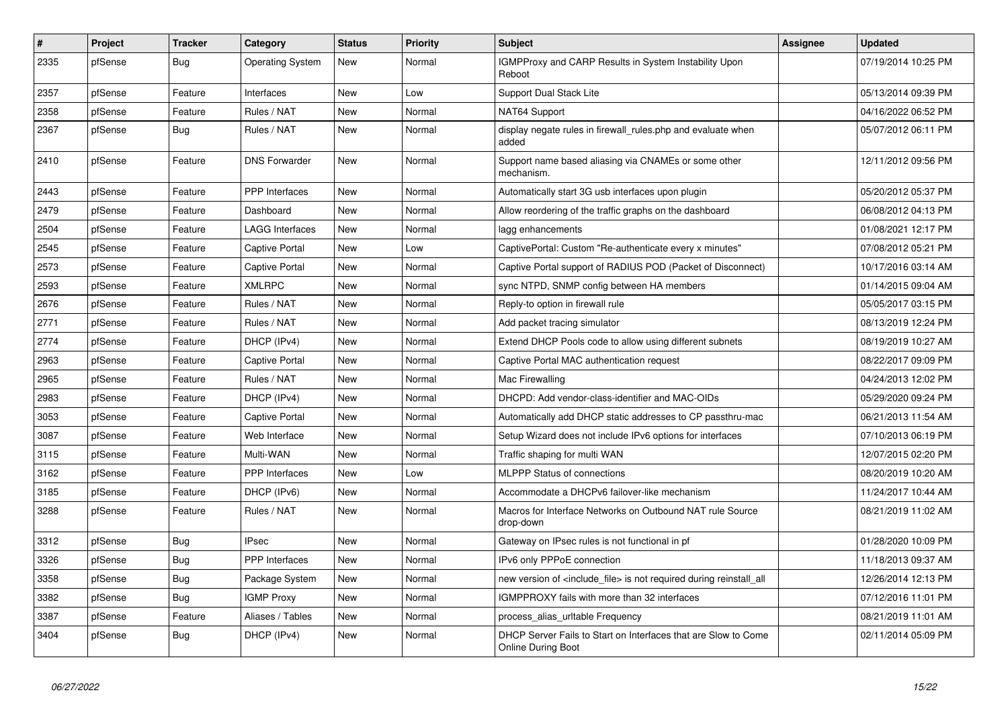| #    | Project | <b>Tracker</b> | Category                | <b>Status</b> | Priority | <b>Subject</b>                                                                              | Assignee | <b>Updated</b>      |
|------|---------|----------------|-------------------------|---------------|----------|---------------------------------------------------------------------------------------------|----------|---------------------|
| 2335 | pfSense | Bug            | <b>Operating System</b> | <b>New</b>    | Normal   | IGMPProxy and CARP Results in System Instability Upon<br>Reboot                             |          | 07/19/2014 10:25 PM |
| 2357 | pfSense | Feature        | Interfaces              | New           | Low      | <b>Support Dual Stack Lite</b>                                                              |          | 05/13/2014 09:39 PM |
| 2358 | pfSense | Feature        | Rules / NAT             | <b>New</b>    | Normal   | NAT64 Support                                                                               |          | 04/16/2022 06:52 PM |
| 2367 | pfSense | Bug            | Rules / NAT             | New           | Normal   | display negate rules in firewall_rules.php and evaluate when<br>added                       |          | 05/07/2012 06:11 PM |
| 2410 | pfSense | Feature        | <b>DNS Forwarder</b>    | New           | Normal   | Support name based aliasing via CNAMEs or some other<br>mechanism.                          |          | 12/11/2012 09:56 PM |
| 2443 | pfSense | Feature        | <b>PPP</b> Interfaces   | New           | Normal   | Automatically start 3G usb interfaces upon plugin                                           |          | 05/20/2012 05:37 PM |
| 2479 | pfSense | Feature        | Dashboard               | <b>New</b>    | Normal   | Allow reordering of the traffic graphs on the dashboard                                     |          | 06/08/2012 04:13 PM |
| 2504 | pfSense | Feature        | LAGG Interfaces         | <b>New</b>    | Normal   | lagg enhancements                                                                           |          | 01/08/2021 12:17 PM |
| 2545 | pfSense | Feature        | Captive Portal          | New           | Low      | CaptivePortal: Custom "Re-authenticate every x minutes"                                     |          | 07/08/2012 05:21 PM |
| 2573 | pfSense | Feature        | Captive Portal          | New           | Normal   | Captive Portal support of RADIUS POD (Packet of Disconnect)                                 |          | 10/17/2016 03:14 AM |
| 2593 | pfSense | Feature        | <b>XMLRPC</b>           | <b>New</b>    | Normal   | sync NTPD, SNMP config between HA members                                                   |          | 01/14/2015 09:04 AM |
| 2676 | pfSense | Feature        | Rules / NAT             | New           | Normal   | Reply-to option in firewall rule                                                            |          | 05/05/2017 03:15 PM |
| 2771 | pfSense | Feature        | Rules / NAT             | <b>New</b>    | Normal   | Add packet tracing simulator                                                                |          | 08/13/2019 12:24 PM |
| 2774 | pfSense | Feature        | DHCP (IPv4)             | New           | Normal   | Extend DHCP Pools code to allow using different subnets                                     |          | 08/19/2019 10:27 AM |
| 2963 | pfSense | Feature        | Captive Portal          | New           | Normal   | Captive Portal MAC authentication request                                                   |          | 08/22/2017 09:09 PM |
| 2965 | pfSense | Feature        | Rules / NAT             | <b>New</b>    | Normal   | Mac Firewalling                                                                             |          | 04/24/2013 12:02 PM |
| 2983 | pfSense | Feature        | DHCP (IPv4)             | New           | Normal   | DHCPD: Add vendor-class-identifier and MAC-OIDs                                             |          | 05/29/2020 09:24 PM |
| 3053 | pfSense | Feature        | Captive Portal          | <b>New</b>    | Normal   | Automatically add DHCP static addresses to CP passthru-mac                                  |          | 06/21/2013 11:54 AM |
| 3087 | pfSense | Feature        | Web Interface           | New           | Normal   | Setup Wizard does not include IPv6 options for interfaces                                   |          | 07/10/2013 06:19 PM |
| 3115 | pfSense | Feature        | Multi-WAN               | <b>New</b>    | Normal   | Traffic shaping for multi WAN                                                               |          | 12/07/2015 02:20 PM |
| 3162 | pfSense | Feature        | <b>PPP</b> Interfaces   | New           | Low      | <b>MLPPP Status of connections</b>                                                          |          | 08/20/2019 10:20 AM |
| 3185 | pfSense | Feature        | DHCP (IPv6)             | <b>New</b>    | Normal   | Accommodate a DHCPv6 failover-like mechanism                                                |          | 11/24/2017 10:44 AM |
| 3288 | pfSense | Feature        | Rules / NAT             | New           | Normal   | Macros for Interface Networks on Outbound NAT rule Source<br>drop-down                      |          | 08/21/2019 11:02 AM |
| 3312 | pfSense | <b>Bug</b>     | <b>IPsec</b>            | New           | Normal   | Gateway on IPsec rules is not functional in pf                                              |          | 01/28/2020 10:09 PM |
| 3326 | pfSense | Bug            | <b>PPP</b> Interfaces   | New           | Normal   | IPv6 only PPPoE connection                                                                  |          | 11/18/2013 09:37 AM |
| 3358 | pfSense | Bug            | Package System          | New           | Normal   | new version of <include file=""> is not required during reinstall all</include>             |          | 12/26/2014 12:13 PM |
| 3382 | pfSense | Bug            | <b>IGMP Proxy</b>       | New           | Normal   | IGMPPROXY fails with more than 32 interfaces                                                |          | 07/12/2016 11:01 PM |
| 3387 | pfSense | Feature        | Aliases / Tables        | New           | Normal   | process alias uritable Frequency                                                            |          | 08/21/2019 11:01 AM |
| 3404 | pfSense | Bug            | DHCP (IPv4)             | <b>New</b>    | Normal   | DHCP Server Fails to Start on Interfaces that are Slow to Come<br><b>Online During Boot</b> |          | 02/11/2014 05:09 PM |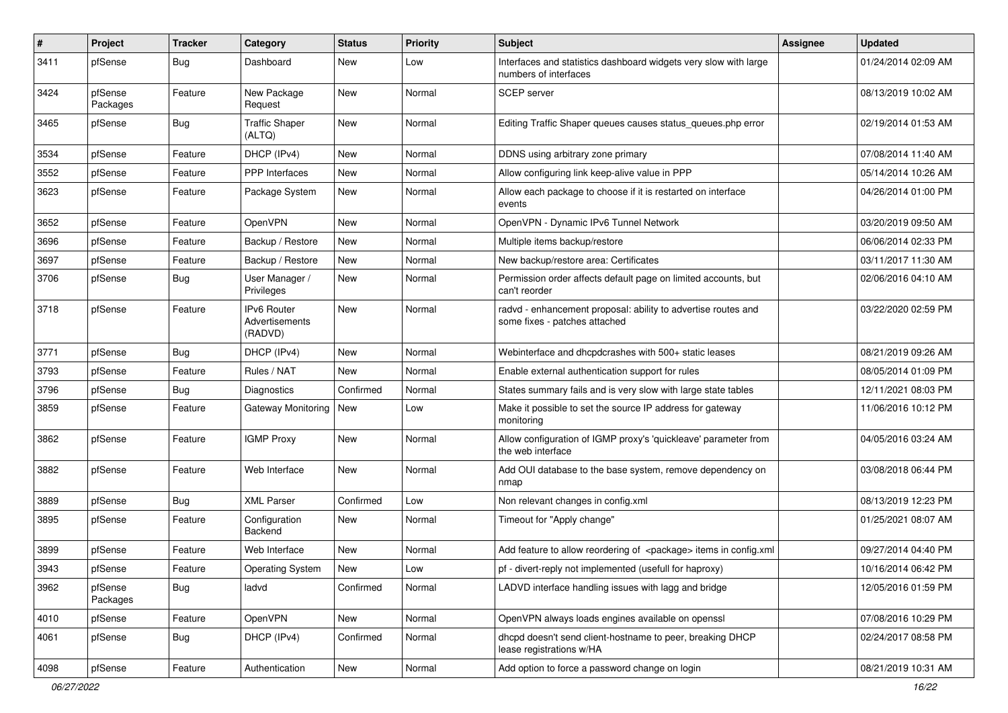| $\#$ | Project             | Tracker    | Category                                        | <b>Status</b> | <b>Priority</b> | Subject                                                                                        | Assignee | <b>Updated</b>      |
|------|---------------------|------------|-------------------------------------------------|---------------|-----------------|------------------------------------------------------------------------------------------------|----------|---------------------|
| 3411 | pfSense             | <b>Bug</b> | Dashboard                                       | New           | Low             | Interfaces and statistics dashboard widgets very slow with large<br>numbers of interfaces      |          | 01/24/2014 02:09 AM |
| 3424 | pfSense<br>Packages | Feature    | New Package<br>Request                          | New           | Normal          | <b>SCEP</b> server                                                                             |          | 08/13/2019 10:02 AM |
| 3465 | pfSense             | Bug        | <b>Traffic Shaper</b><br>(ALTQ)                 | New           | Normal          | Editing Traffic Shaper queues causes status_queues.php error                                   |          | 02/19/2014 01:53 AM |
| 3534 | pfSense             | Feature    | DHCP (IPv4)                                     | New           | Normal          | DDNS using arbitrary zone primary                                                              |          | 07/08/2014 11:40 AM |
| 3552 | pfSense             | Feature    | PPP Interfaces                                  | New           | Normal          | Allow configuring link keep-alive value in PPP                                                 |          | 05/14/2014 10:26 AM |
| 3623 | pfSense             | Feature    | Package System                                  | New           | Normal          | Allow each package to choose if it is restarted on interface<br>events                         |          | 04/26/2014 01:00 PM |
| 3652 | pfSense             | Feature    | OpenVPN                                         | New           | Normal          | OpenVPN - Dynamic IPv6 Tunnel Network                                                          |          | 03/20/2019 09:50 AM |
| 3696 | pfSense             | Feature    | Backup / Restore                                | New           | Normal          | Multiple items backup/restore                                                                  |          | 06/06/2014 02:33 PM |
| 3697 | pfSense             | Feature    | Backup / Restore                                | New           | Normal          | New backup/restore area: Certificates                                                          |          | 03/11/2017 11:30 AM |
| 3706 | pfSense             | <b>Bug</b> | User Manager /<br>Privileges                    | New           | Normal          | Permission order affects default page on limited accounts, but<br>can't reorder                |          | 02/06/2016 04:10 AM |
| 3718 | pfSense             | Feature    | <b>IPv6 Router</b><br>Advertisements<br>(RADVD) | New           | Normal          | radvd - enhancement proposal: ability to advertise routes and<br>some fixes - patches attached |          | 03/22/2020 02:59 PM |
| 3771 | pfSense             | Bug        | DHCP (IPv4)                                     | New           | Normal          | Webinterface and dhcpdcrashes with 500+ static leases                                          |          | 08/21/2019 09:26 AM |
| 3793 | pfSense             | Feature    | Rules / NAT                                     | New           | Normal          | Enable external authentication support for rules                                               |          | 08/05/2014 01:09 PM |
| 3796 | pfSense             | <b>Bug</b> | Diagnostics                                     | Confirmed     | Normal          | States summary fails and is very slow with large state tables                                  |          | 12/11/2021 08:03 PM |
| 3859 | pfSense             | Feature    | Gateway Monitoring   New                        |               | Low             | Make it possible to set the source IP address for gateway<br>monitoring                        |          | 11/06/2016 10:12 PM |
| 3862 | pfSense             | Feature    | <b>IGMP Proxy</b>                               | <b>New</b>    | Normal          | Allow configuration of IGMP proxy's 'quickleave' parameter from<br>the web interface           |          | 04/05/2016 03:24 AM |
| 3882 | pfSense             | Feature    | Web Interface                                   | New           | Normal          | Add OUI database to the base system, remove dependency on<br>nmap                              |          | 03/08/2018 06:44 PM |
| 3889 | pfSense             | Bug        | <b>XML Parser</b>                               | Confirmed     | Low             | Non relevant changes in config.xml                                                             |          | 08/13/2019 12:23 PM |
| 3895 | pfSense             | Feature    | Configuration<br>Backend                        | New           | Normal          | Timeout for "Apply change"                                                                     |          | 01/25/2021 08:07 AM |
| 3899 | pfSense             | Feature    | Web Interface                                   | New           | Normal          | Add feature to allow reordering of <package> items in config.xml</package>                     |          | 09/27/2014 04:40 PM |
| 3943 | pfSense             | Feature    | Operating System                                | New           | Low             | pf - divert-reply not implemented (usefull for haproxy)                                        |          | 10/16/2014 06:42 PM |
| 3962 | pfSense<br>Packages | Bug        | ladvd                                           | Confirmed     | Normal          | LADVD interface handling issues with lagg and bridge                                           |          | 12/05/2016 01:59 PM |
| 4010 | pfSense             | Feature    | OpenVPN                                         | New           | Normal          | OpenVPN always loads engines available on openssl                                              |          | 07/08/2016 10:29 PM |
| 4061 | pfSense             | Bug        | DHCP (IPv4)                                     | Confirmed     | Normal          | dhcpd doesn't send client-hostname to peer, breaking DHCP<br>lease registrations w/HA          |          | 02/24/2017 08:58 PM |
| 4098 | pfSense             | Feature    | Authentication                                  | New           | Normal          | Add option to force a password change on login                                                 |          | 08/21/2019 10:31 AM |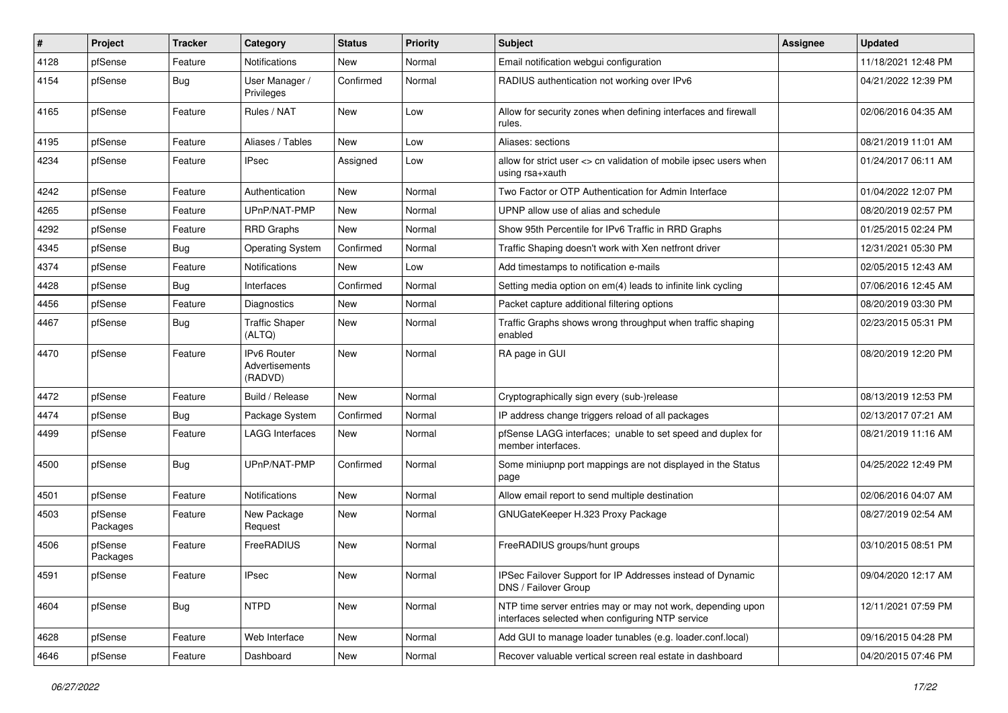| #    | <b>Project</b>      | <b>Tracker</b> | Category                                        | <b>Status</b> | Priority | Subject                                                                                                         | Assignee | <b>Updated</b>      |
|------|---------------------|----------------|-------------------------------------------------|---------------|----------|-----------------------------------------------------------------------------------------------------------------|----------|---------------------|
| 4128 | pfSense             | Feature        | Notifications                                   | New           | Normal   | Email notification webgui configuration                                                                         |          | 11/18/2021 12:48 PM |
| 4154 | pfSense             | <b>Bug</b>     | User Manager /<br>Privileges                    | Confirmed     | Normal   | RADIUS authentication not working over IPv6                                                                     |          | 04/21/2022 12:39 PM |
| 4165 | pfSense             | Feature        | Rules / NAT                                     | <b>New</b>    | Low      | Allow for security zones when defining interfaces and firewall<br>rules.                                        |          | 02/06/2016 04:35 AM |
| 4195 | pfSense             | Feature        | Aliases / Tables                                | <b>New</b>    | Low      | Aliases: sections                                                                                               |          | 08/21/2019 11:01 AM |
| 4234 | pfSense             | Feature        | IPsec                                           | Assigned      | Low      | allow for strict user <> cn validation of mobile ipsec users when<br>using rsa+xauth                            |          | 01/24/2017 06:11 AM |
| 4242 | pfSense             | Feature        | Authentication                                  | New           | Normal   | Two Factor or OTP Authentication for Admin Interface                                                            |          | 01/04/2022 12:07 PM |
| 4265 | pfSense             | Feature        | UPnP/NAT-PMP                                    | New           | Normal   | UPNP allow use of alias and schedule                                                                            |          | 08/20/2019 02:57 PM |
| 4292 | pfSense             | Feature        | <b>RRD Graphs</b>                               | New           | Normal   | Show 95th Percentile for IPv6 Traffic in RRD Graphs                                                             |          | 01/25/2015 02:24 PM |
| 4345 | pfSense             | <b>Bug</b>     | <b>Operating System</b>                         | Confirmed     | Normal   | Traffic Shaping doesn't work with Xen netfront driver                                                           |          | 12/31/2021 05:30 PM |
| 4374 | pfSense             | Feature        | Notifications                                   | New           | Low      | Add timestamps to notification e-mails                                                                          |          | 02/05/2015 12:43 AM |
| 4428 | pfSense             | <b>Bug</b>     | Interfaces                                      | Confirmed     | Normal   | Setting media option on em(4) leads to infinite link cycling                                                    |          | 07/06/2016 12:45 AM |
| 4456 | pfSense             | Feature        | Diagnostics                                     | New           | Normal   | Packet capture additional filtering options                                                                     |          | 08/20/2019 03:30 PM |
| 4467 | pfSense             | <b>Bug</b>     | <b>Traffic Shaper</b><br>(ALTQ)                 | New           | Normal   | Traffic Graphs shows wrong throughput when traffic shaping<br>enabled                                           |          | 02/23/2015 05:31 PM |
| 4470 | pfSense             | Feature        | <b>IPv6 Router</b><br>Advertisements<br>(RADVD) | <b>New</b>    | Normal   | RA page in GUI                                                                                                  |          | 08/20/2019 12:20 PM |
| 4472 | pfSense             | Feature        | Build / Release                                 | <b>New</b>    | Normal   | Cryptographically sign every (sub-)release                                                                      |          | 08/13/2019 12:53 PM |
| 4474 | pfSense             | Bug            | Package System                                  | Confirmed     | Normal   | IP address change triggers reload of all packages                                                               |          | 02/13/2017 07:21 AM |
| 4499 | pfSense             | Feature        | LAGG Interfaces                                 | New           | Normal   | pfSense LAGG interfaces; unable to set speed and duplex for<br>member interfaces.                               |          | 08/21/2019 11:16 AM |
| 4500 | pfSense             | Bug            | UPnP/NAT-PMP                                    | Confirmed     | Normal   | Some miniupnp port mappings are not displayed in the Status<br>page                                             |          | 04/25/2022 12:49 PM |
| 4501 | pfSense             | Feature        | <b>Notifications</b>                            | <b>New</b>    | Normal   | Allow email report to send multiple destination                                                                 |          | 02/06/2016 04:07 AM |
| 4503 | pfSense<br>Packages | Feature        | New Package<br>Request                          | New           | Normal   | GNUGateKeeper H.323 Proxy Package                                                                               |          | 08/27/2019 02:54 AM |
| 4506 | pfSense<br>Packages | Feature        | FreeRADIUS                                      | <b>New</b>    | Normal   | FreeRADIUS groups/hunt groups                                                                                   |          | 03/10/2015 08:51 PM |
| 4591 | pfSense             | Feature        | <b>IPsec</b>                                    | New           | Normal   | IPSec Failover Support for IP Addresses instead of Dynamic<br>DNS / Failover Group                              |          | 09/04/2020 12:17 AM |
| 4604 | pfSense             | Bug            | <b>NTPD</b>                                     | New           | Normal   | NTP time server entries may or may not work, depending upon<br>interfaces selected when configuring NTP service |          | 12/11/2021 07:59 PM |
| 4628 | pfSense             | Feature        | Web Interface                                   | New           | Normal   | Add GUI to manage loader tunables (e.g. loader.conf.local)                                                      |          | 09/16/2015 04:28 PM |
| 4646 | pfSense             | Feature        | Dashboard                                       | New           | Normal   | Recover valuable vertical screen real estate in dashboard                                                       |          | 04/20/2015 07:46 PM |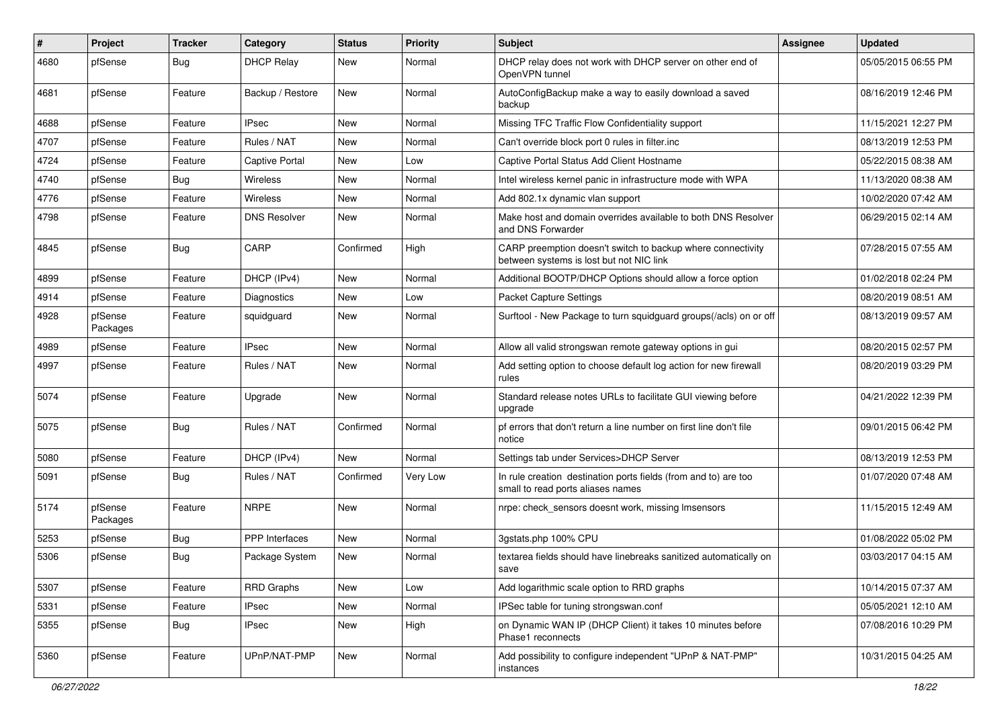| #    | <b>Project</b>      | <b>Tracker</b> | Category              | <b>Status</b> | Priority | Subject                                                                                                 | <b>Assignee</b> | <b>Updated</b>      |
|------|---------------------|----------------|-----------------------|---------------|----------|---------------------------------------------------------------------------------------------------------|-----------------|---------------------|
| 4680 | pfSense             | <b>Bug</b>     | <b>DHCP Relay</b>     | New           | Normal   | DHCP relay does not work with DHCP server on other end of<br>OpenVPN tunnel                             |                 | 05/05/2015 06:55 PM |
| 4681 | pfSense             | Feature        | Backup / Restore      | New           | Normal   | AutoConfigBackup make a way to easily download a saved<br>backup                                        |                 | 08/16/2019 12:46 PM |
| 4688 | pfSense             | Feature        | <b>IPsec</b>          | <b>New</b>    | Normal   | Missing TFC Traffic Flow Confidentiality support                                                        |                 | 11/15/2021 12:27 PM |
| 4707 | pfSense             | Feature        | Rules / NAT           | New           | Normal   | Can't override block port 0 rules in filter.inc                                                         |                 | 08/13/2019 12:53 PM |
| 4724 | pfSense             | Feature        | <b>Captive Portal</b> | New           | Low      | Captive Portal Status Add Client Hostname                                                               |                 | 05/22/2015 08:38 AM |
| 4740 | pfSense             | <b>Bug</b>     | Wireless              | New           | Normal   | Intel wireless kernel panic in infrastructure mode with WPA                                             |                 | 11/13/2020 08:38 AM |
| 4776 | pfSense             | Feature        | Wireless              | New           | Normal   | Add 802.1x dynamic vlan support                                                                         |                 | 10/02/2020 07:42 AM |
| 4798 | pfSense             | Feature        | <b>DNS Resolver</b>   | New           | Normal   | Make host and domain overrides available to both DNS Resolver<br>and DNS Forwarder                      |                 | 06/29/2015 02:14 AM |
| 4845 | pfSense             | <b>Bug</b>     | CARP                  | Confirmed     | High     | CARP preemption doesn't switch to backup where connectivity<br>between systems is lost but not NIC link |                 | 07/28/2015 07:55 AM |
| 4899 | pfSense             | Feature        | DHCP (IPv4)           | New           | Normal   | Additional BOOTP/DHCP Options should allow a force option                                               |                 | 01/02/2018 02:24 PM |
| 4914 | pfSense             | Feature        | Diagnostics           | New           | Low      | <b>Packet Capture Settings</b>                                                                          |                 | 08/20/2019 08:51 AM |
| 4928 | pfSense<br>Packages | Feature        | squidguard            | New           | Normal   | Surftool - New Package to turn squidguard groups(/acls) on or off                                       |                 | 08/13/2019 09:57 AM |
| 4989 | pfSense             | Feature        | <b>IPsec</b>          | New           | Normal   | Allow all valid strongswan remote gateway options in gui                                                |                 | 08/20/2015 02:57 PM |
| 4997 | pfSense             | Feature        | Rules / NAT           | New           | Normal   | Add setting option to choose default log action for new firewall<br>rules                               |                 | 08/20/2019 03:29 PM |
| 5074 | pfSense             | Feature        | Upgrade               | <b>New</b>    | Normal   | Standard release notes URLs to facilitate GUI viewing before<br>upgrade                                 |                 | 04/21/2022 12:39 PM |
| 5075 | pfSense             | <b>Bug</b>     | Rules / NAT           | Confirmed     | Normal   | pf errors that don't return a line number on first line don't file<br>notice                            |                 | 09/01/2015 06:42 PM |
| 5080 | pfSense             | Feature        | DHCP (IPv4)           | New           | Normal   | Settings tab under Services>DHCP Server                                                                 |                 | 08/13/2019 12:53 PM |
| 5091 | pfSense             | <b>Bug</b>     | Rules / NAT           | Confirmed     | Very Low | In rule creation destination ports fields (from and to) are too<br>small to read ports aliases names    |                 | 01/07/2020 07:48 AM |
| 5174 | pfSense<br>Packages | Feature        | <b>NRPE</b>           | New           | Normal   | nrpe: check sensors doesnt work, missing Imsensors                                                      |                 | 11/15/2015 12:49 AM |
| 5253 | pfSense             | <b>Bug</b>     | PPP Interfaces        | New           | Normal   | 3gstats.php 100% CPU                                                                                    |                 | 01/08/2022 05:02 PM |
| 5306 | pfSense             | <b>Bug</b>     | Package System        | New           | Normal   | textarea fields should have linebreaks sanitized automatically on<br>save                               |                 | 03/03/2017 04:15 AM |
| 5307 | pfSense             | Feature        | <b>RRD Graphs</b>     | New           | Low      | Add logarithmic scale option to RRD graphs                                                              |                 | 10/14/2015 07:37 AM |
| 5331 | pfSense             | Feature        | IPsec                 | New           | Normal   | IPSec table for tuning strongswan.conf                                                                  |                 | 05/05/2021 12:10 AM |
| 5355 | pfSense             | <b>Bug</b>     | <b>IPsec</b>          | New           | High     | on Dynamic WAN IP (DHCP Client) it takes 10 minutes before<br>Phase1 reconnects                         |                 | 07/08/2016 10:29 PM |
| 5360 | pfSense             | Feature        | UPnP/NAT-PMP          | New           | Normal   | Add possibility to configure independent "UPnP & NAT-PMP"<br>instances                                  |                 | 10/31/2015 04:25 AM |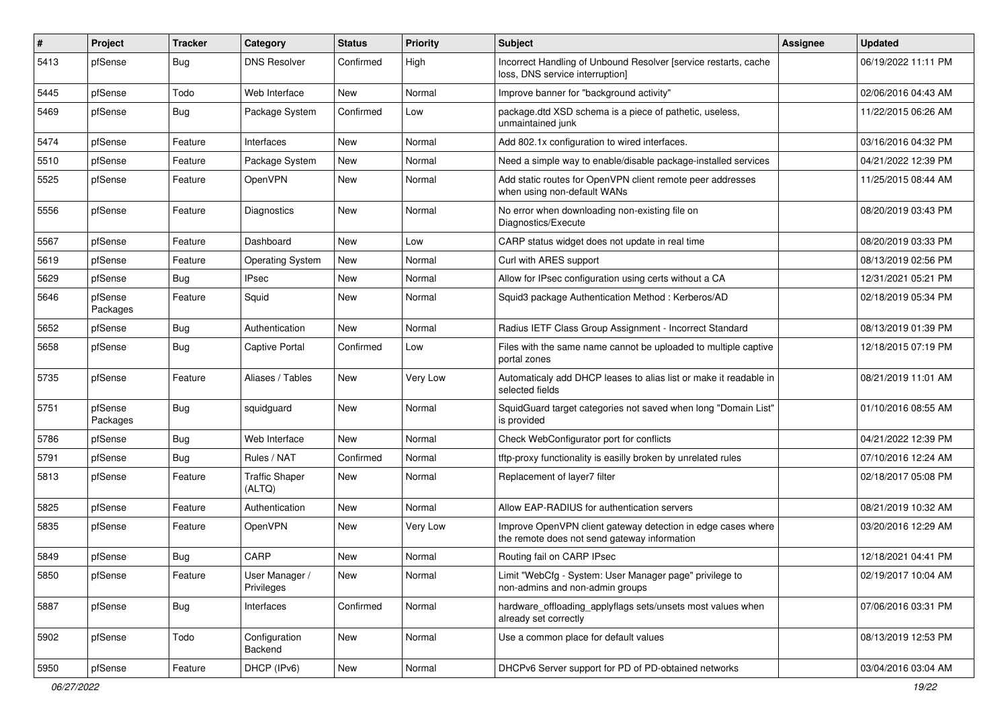| #    | Project             | <b>Tracker</b> | Category                        | <b>Status</b> | <b>Priority</b> | Subject                                                                                                      | <b>Assignee</b> | <b>Updated</b>      |
|------|---------------------|----------------|---------------------------------|---------------|-----------------|--------------------------------------------------------------------------------------------------------------|-----------------|---------------------|
| 5413 | pfSense             | Bug            | <b>DNS Resolver</b>             | Confirmed     | High            | Incorrect Handling of Unbound Resolver [service restarts, cache<br>loss, DNS service interruption]           |                 | 06/19/2022 11:11 PM |
| 5445 | pfSense             | Todo           | Web Interface                   | New           | Normal          | Improve banner for "background activity"                                                                     |                 | 02/06/2016 04:43 AM |
| 5469 | pfSense             | Bug            | Package System                  | Confirmed     | Low             | package.dtd XSD schema is a piece of pathetic, useless,<br>unmaintained junk                                 |                 | 11/22/2015 06:26 AM |
| 5474 | pfSense             | Feature        | Interfaces                      | New           | Normal          | Add 802.1x configuration to wired interfaces.                                                                |                 | 03/16/2016 04:32 PM |
| 5510 | pfSense             | Feature        | Package System                  | New           | Normal          | Need a simple way to enable/disable package-installed services                                               |                 | 04/21/2022 12:39 PM |
| 5525 | pfSense             | Feature        | OpenVPN                         | New           | Normal          | Add static routes for OpenVPN client remote peer addresses<br>when using non-default WANs                    |                 | 11/25/2015 08:44 AM |
| 5556 | pfSense             | Feature        | Diagnostics                     | New           | Normal          | No error when downloading non-existing file on<br>Diagnostics/Execute                                        |                 | 08/20/2019 03:43 PM |
| 5567 | pfSense             | Feature        | Dashboard                       | New           | Low             | CARP status widget does not update in real time                                                              |                 | 08/20/2019 03:33 PM |
| 5619 | pfSense             | Feature        | <b>Operating System</b>         | <b>New</b>    | Normal          | Curl with ARES support                                                                                       |                 | 08/13/2019 02:56 PM |
| 5629 | pfSense             | Bug            | <b>IPsec</b>                    | New           | Normal          | Allow for IPsec configuration using certs without a CA                                                       |                 | 12/31/2021 05:21 PM |
| 5646 | pfSense<br>Packages | Feature        | Squid                           | New           | Normal          | Squid3 package Authentication Method: Kerberos/AD                                                            |                 | 02/18/2019 05:34 PM |
| 5652 | pfSense             | Bug            | Authentication                  | <b>New</b>    | Normal          | Radius IETF Class Group Assignment - Incorrect Standard                                                      |                 | 08/13/2019 01:39 PM |
| 5658 | pfSense             | <b>Bug</b>     | <b>Captive Portal</b>           | Confirmed     | Low             | Files with the same name cannot be uploaded to multiple captive<br>portal zones                              |                 | 12/18/2015 07:19 PM |
| 5735 | pfSense             | Feature        | Aliases / Tables                | New           | Very Low        | Automaticaly add DHCP leases to alias list or make it readable in<br>selected fields                         |                 | 08/21/2019 11:01 AM |
| 5751 | pfSense<br>Packages | <b>Bug</b>     | squidguard                      | New           | Normal          | SquidGuard target categories not saved when long "Domain List"<br>is provided                                |                 | 01/10/2016 08:55 AM |
| 5786 | pfSense             | Bug            | Web Interface                   | New           | Normal          | Check WebConfigurator port for conflicts                                                                     |                 | 04/21/2022 12:39 PM |
| 5791 | pfSense             | Bug            | Rules / NAT                     | Confirmed     | Normal          | tftp-proxy functionality is easilly broken by unrelated rules                                                |                 | 07/10/2016 12:24 AM |
| 5813 | pfSense             | Feature        | <b>Traffic Shaper</b><br>(ALTQ) | New           | Normal          | Replacement of layer7 filter                                                                                 |                 | 02/18/2017 05:08 PM |
| 5825 | pfSense             | Feature        | Authentication                  | New           | Normal          | Allow EAP-RADIUS for authentication servers                                                                  |                 | 08/21/2019 10:32 AM |
| 5835 | pfSense             | Feature        | <b>OpenVPN</b>                  | New           | Very Low        | Improve OpenVPN client gateway detection in edge cases where<br>the remote does not send gateway information |                 | 03/20/2016 12:29 AM |
| 5849 | pfSense             | Bug            | CARP                            | New           | Normal          | Routing fail on CARP IPsec                                                                                   |                 | 12/18/2021 04:41 PM |
| 5850 | pfSense             | Feature        | User Manager /<br>Privileges    | New           | Normal          | Limit "WebCfg - System: User Manager page" privilege to<br>non-admins and non-admin groups                   |                 | 02/19/2017 10:04 AM |
| 5887 | pfSense             | <b>Bug</b>     | Interfaces                      | Confirmed     | Normal          | hardware_offloading_applyflags sets/unsets most values when<br>already set correctly                         |                 | 07/06/2016 03:31 PM |
| 5902 | pfSense             | Todo           | Configuration<br>Backend        | New           | Normal          | Use a common place for default values                                                                        |                 | 08/13/2019 12:53 PM |
| 5950 | pfSense             | Feature        | DHCP (IPv6)                     | New           | Normal          | DHCPv6 Server support for PD of PD-obtained networks                                                         |                 | 03/04/2016 03:04 AM |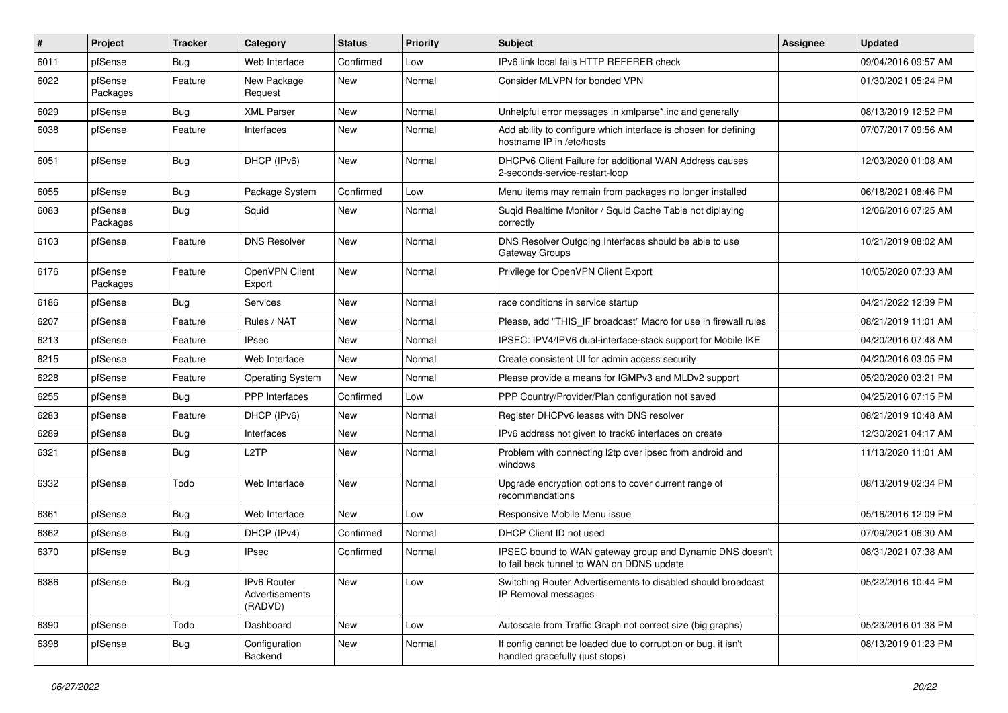| #    | Project             | <b>Tracker</b> | Category                                 | <b>Status</b> | <b>Priority</b> | Subject                                                                                               | Assignee | <b>Updated</b>      |
|------|---------------------|----------------|------------------------------------------|---------------|-----------------|-------------------------------------------------------------------------------------------------------|----------|---------------------|
| 6011 | pfSense             | Bug            | Web Interface                            | Confirmed     | Low             | IPv6 link local fails HTTP REFERER check                                                              |          | 09/04/2016 09:57 AM |
| 6022 | pfSense<br>Packages | Feature        | New Package<br>Request                   | New           | Normal          | Consider MLVPN for bonded VPN                                                                         |          | 01/30/2021 05:24 PM |
| 6029 | pfSense             | <b>Bug</b>     | <b>XML Parser</b>                        | <b>New</b>    | Normal          | Unhelpful error messages in xmlparse*.inc and generally                                               |          | 08/13/2019 12:52 PM |
| 6038 | pfSense             | Feature        | Interfaces                               | New           | Normal          | Add ability to configure which interface is chosen for defining<br>hostname IP in /etc/hosts          |          | 07/07/2017 09:56 AM |
| 6051 | pfSense             | <b>Bug</b>     | DHCP (IPv6)                              | New           | Normal          | DHCPv6 Client Failure for additional WAN Address causes<br>2-seconds-service-restart-loop             |          | 12/03/2020 01:08 AM |
| 6055 | pfSense             | <b>Bug</b>     | Package System                           | Confirmed     | Low             | Menu items may remain from packages no longer installed                                               |          | 06/18/2021 08:46 PM |
| 6083 | pfSense<br>Packages | Bug            | Squid                                    | New           | Normal          | Suqid Realtime Monitor / Squid Cache Table not diplaying<br>correctly                                 |          | 12/06/2016 07:25 AM |
| 6103 | pfSense             | Feature        | <b>DNS Resolver</b>                      | New           | Normal          | DNS Resolver Outgoing Interfaces should be able to use<br>Gateway Groups                              |          | 10/21/2019 08:02 AM |
| 6176 | pfSense<br>Packages | Feature        | OpenVPN Client<br>Export                 | New           | Normal          | Privilege for OpenVPN Client Export                                                                   |          | 10/05/2020 07:33 AM |
| 6186 | pfSense             | <b>Bug</b>     | Services                                 | <b>New</b>    | Normal          | race conditions in service startup                                                                    |          | 04/21/2022 12:39 PM |
| 6207 | pfSense             | Feature        | Rules / NAT                              | New           | Normal          | Please, add "THIS IF broadcast" Macro for use in firewall rules                                       |          | 08/21/2019 11:01 AM |
| 6213 | pfSense             | Feature        | <b>IPsec</b>                             | New           | Normal          | IPSEC: IPV4/IPV6 dual-interface-stack support for Mobile IKE                                          |          | 04/20/2016 07:48 AM |
| 6215 | pfSense             | Feature        | Web Interface                            | <b>New</b>    | Normal          | Create consistent UI for admin access security                                                        |          | 04/20/2016 03:05 PM |
| 6228 | pfSense             | Feature        | <b>Operating System</b>                  | New           | Normal          | Please provide a means for IGMPv3 and MLDv2 support                                                   |          | 05/20/2020 03:21 PM |
| 6255 | pfSense             | <b>Bug</b>     | <b>PPP</b> Interfaces                    | Confirmed     | Low             | PPP Country/Provider/Plan configuration not saved                                                     |          | 04/25/2016 07:15 PM |
| 6283 | pfSense             | Feature        | DHCP (IPv6)                              | New           | Normal          | Register DHCPv6 leases with DNS resolver                                                              |          | 08/21/2019 10:48 AM |
| 6289 | pfSense             | Bug            | Interfaces                               | New           | Normal          | IPv6 address not given to track6 interfaces on create                                                 |          | 12/30/2021 04:17 AM |
| 6321 | pfSense             | <b>Bug</b>     | L2TP                                     | New           | Normal          | Problem with connecting I2tp over ipsec from android and<br>windows                                   |          | 11/13/2020 11:01 AM |
| 6332 | pfSense             | Todo           | Web Interface                            | New           | Normal          | Upgrade encryption options to cover current range of<br>recommendations                               |          | 08/13/2019 02:34 PM |
| 6361 | pfSense             | <b>Bug</b>     | Web Interface                            | New           | Low             | Responsive Mobile Menu issue                                                                          |          | 05/16/2016 12:09 PM |
| 6362 | pfSense             | <b>Bug</b>     | DHCP (IPv4)                              | Confirmed     | Normal          | DHCP Client ID not used                                                                               |          | 07/09/2021 06:30 AM |
| 6370 | pfSense             | <b>Bug</b>     | <b>IPsec</b>                             | Confirmed     | Normal          | IPSEC bound to WAN gateway group and Dynamic DNS doesn't<br>to fail back tunnel to WAN on DDNS update |          | 08/31/2021 07:38 AM |
| 6386 | pfSense             | <b>Bug</b>     | IPv6 Router<br>Advertisements<br>(RADVD) | New           | Low             | Switching Router Advertisements to disabled should broadcast<br>IP Removal messages                   |          | 05/22/2016 10:44 PM |
| 6390 | pfSense             | Todo           | Dashboard                                | New           | Low             | Autoscale from Traffic Graph not correct size (big graphs)                                            |          | 05/23/2016 01:38 PM |
| 6398 | pfSense             | <b>Bug</b>     | Configuration<br>Backend                 | New           | Normal          | If config cannot be loaded due to corruption or bug, it isn't<br>handled gracefully (just stops)      |          | 08/13/2019 01:23 PM |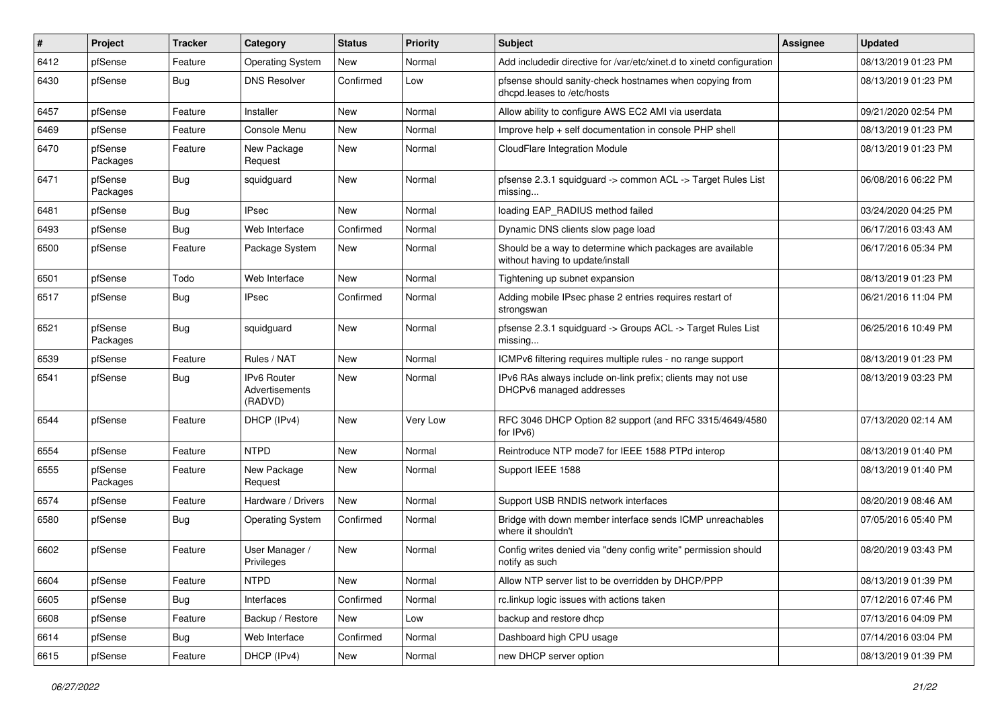| #    | Project             | <b>Tracker</b> | Category                                        | <b>Status</b> | Priority | Subject                                                                                       | Assignee | <b>Updated</b>      |
|------|---------------------|----------------|-------------------------------------------------|---------------|----------|-----------------------------------------------------------------------------------------------|----------|---------------------|
| 6412 | pfSense             | Feature        | <b>Operating System</b>                         | New           | Normal   | Add includedir directive for /var/etc/xinet.d to xinetd configuration                         |          | 08/13/2019 01:23 PM |
| 6430 | pfSense             | Bug            | <b>DNS Resolver</b>                             | Confirmed     | Low      | pfsense should sanity-check hostnames when copying from<br>dhcpd.leases to /etc/hosts         |          | 08/13/2019 01:23 PM |
| 6457 | pfSense             | Feature        | Installer                                       | <b>New</b>    | Normal   | Allow ability to configure AWS EC2 AMI via userdata                                           |          | 09/21/2020 02:54 PM |
| 6469 | pfSense             | Feature        | Console Menu                                    | New           | Normal   | Improve help + self documentation in console PHP shell                                        |          | 08/13/2019 01:23 PM |
| 6470 | pfSense<br>Packages | Feature        | New Package<br>Request                          | New           | Normal   | CloudFlare Integration Module                                                                 |          | 08/13/2019 01:23 PM |
| 6471 | pfSense<br>Packages | <b>Bug</b>     | squidguard                                      | <b>New</b>    | Normal   | pfsense 2.3.1 squidguard -> common ACL -> Target Rules List<br>missing                        |          | 06/08/2016 06:22 PM |
| 6481 | pfSense             | <b>Bug</b>     | <b>IPsec</b>                                    | <b>New</b>    | Normal   | loading EAP_RADIUS method failed                                                              |          | 03/24/2020 04:25 PM |
| 6493 | pfSense             | Bug            | Web Interface                                   | Confirmed     | Normal   | Dynamic DNS clients slow page load                                                            |          | 06/17/2016 03:43 AM |
| 6500 | pfSense             | Feature        | Package System                                  | New           | Normal   | Should be a way to determine which packages are available<br>without having to update/install |          | 06/17/2016 05:34 PM |
| 6501 | pfSense             | Todo           | Web Interface                                   | New           | Normal   | Tightening up subnet expansion                                                                |          | 08/13/2019 01:23 PM |
| 6517 | pfSense             | <b>Bug</b>     | <b>IPsec</b>                                    | Confirmed     | Normal   | Adding mobile IPsec phase 2 entries requires restart of<br>strongswan                         |          | 06/21/2016 11:04 PM |
| 6521 | pfSense<br>Packages | <b>Bug</b>     | squidguard                                      | New           | Normal   | pfsense 2.3.1 squidguard -> Groups ACL -> Target Rules List<br>missing                        |          | 06/25/2016 10:49 PM |
| 6539 | pfSense             | Feature        | Rules / NAT                                     | <b>New</b>    | Normal   | ICMPv6 filtering requires multiple rules - no range support                                   |          | 08/13/2019 01:23 PM |
| 6541 | pfSense             | <b>Bug</b>     | <b>IPv6 Router</b><br>Advertisements<br>(RADVD) | New           | Normal   | IPv6 RAs always include on-link prefix; clients may not use<br>DHCPv6 managed addresses       |          | 08/13/2019 03:23 PM |
| 6544 | pfSense             | Feature        | DHCP (IPv4)                                     | <b>New</b>    | Very Low | RFC 3046 DHCP Option 82 support (and RFC 3315/4649/4580<br>for $IPv6$ )                       |          | 07/13/2020 02:14 AM |
| 6554 | pfSense             | Feature        | <b>NTPD</b>                                     | <b>New</b>    | Normal   | Reintroduce NTP mode7 for IEEE 1588 PTPd interop                                              |          | 08/13/2019 01:40 PM |
| 6555 | pfSense<br>Packages | Feature        | New Package<br>Request                          | New           | Normal   | Support IEEE 1588                                                                             |          | 08/13/2019 01:40 PM |
| 6574 | pfSense             | Feature        | Hardware / Drivers                              | New           | Normal   | Support USB RNDIS network interfaces                                                          |          | 08/20/2019 08:46 AM |
| 6580 | pfSense             | <b>Bug</b>     | <b>Operating System</b>                         | Confirmed     | Normal   | Bridge with down member interface sends ICMP unreachables<br>where it shouldn't               |          | 07/05/2016 05:40 PM |
| 6602 | pfSense             | Feature        | User Manager /<br>Privileges                    | New           | Normal   | Config writes denied via "deny config write" permission should<br>notify as such              |          | 08/20/2019 03:43 PM |
| 6604 | pfSense             | Feature        | <b>NTPD</b>                                     | New           | Normal   | Allow NTP server list to be overridden by DHCP/PPP                                            |          | 08/13/2019 01:39 PM |
| 6605 | pfSense             | <b>Bug</b>     | Interfaces                                      | Confirmed     | Normal   | rc.linkup logic issues with actions taken                                                     |          | 07/12/2016 07:46 PM |
| 6608 | pfSense             | Feature        | Backup / Restore                                | New           | Low      | backup and restore dhcp                                                                       |          | 07/13/2016 04:09 PM |
| 6614 | pfSense             | <b>Bug</b>     | Web Interface                                   | Confirmed     | Normal   | Dashboard high CPU usage                                                                      |          | 07/14/2016 03:04 PM |
| 6615 | pfSense             | Feature        | DHCP (IPv4)                                     | New           | Normal   | new DHCP server option                                                                        |          | 08/13/2019 01:39 PM |